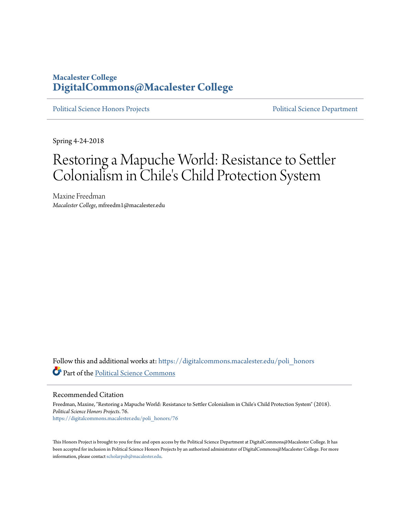### **Macalester College [DigitalCommons@Macalester College](https://digitalcommons.macalester.edu?utm_source=digitalcommons.macalester.edu%2Fpoli_honors%2F76&utm_medium=PDF&utm_campaign=PDFCoverPages)**

[Political Science Honors Projects](https://digitalcommons.macalester.edu/poli_honors?utm_source=digitalcommons.macalester.edu%2Fpoli_honors%2F76&utm_medium=PDF&utm_campaign=PDFCoverPages) **[Political Science Department](https://digitalcommons.macalester.edu/politicalscience?utm_source=digitalcommons.macalester.edu%2Fpoli_honors%2F76&utm_medium=PDF&utm_campaign=PDFCoverPages)** 

Spring 4-24-2018

# Restoring a Mapuche World: Resistance to Settler Colonialism in Chile's Child Protection System

Maxine Freedman *Macalester College*, mfreedm1@macalester.edu

Follow this and additional works at: [https://digitalcommons.macalester.edu/poli\\_honors](https://digitalcommons.macalester.edu/poli_honors?utm_source=digitalcommons.macalester.edu%2Fpoli_honors%2F76&utm_medium=PDF&utm_campaign=PDFCoverPages) Part of the [Political Science Commons](http://network.bepress.com/hgg/discipline/386?utm_source=digitalcommons.macalester.edu%2Fpoli_honors%2F76&utm_medium=PDF&utm_campaign=PDFCoverPages)

Recommended Citation

Freedman, Maxine, "Restoring a Mapuche World: Resistance to Settler Colonialism in Chile's Child Protection System" (2018). *Political Science Honors Projects*. 76. [https://digitalcommons.macalester.edu/poli\\_honors/76](https://digitalcommons.macalester.edu/poli_honors/76?utm_source=digitalcommons.macalester.edu%2Fpoli_honors%2F76&utm_medium=PDF&utm_campaign=PDFCoverPages)

This Honors Project is brought to you for free and open access by the Political Science Department at DigitalCommons@Macalester College. It has been accepted for inclusion in Political Science Honors Projects by an authorized administrator of DigitalCommons@Macalester College. For more information, please contact [scholarpub@macalester.edu.](mailto:scholarpub@macalester.edu)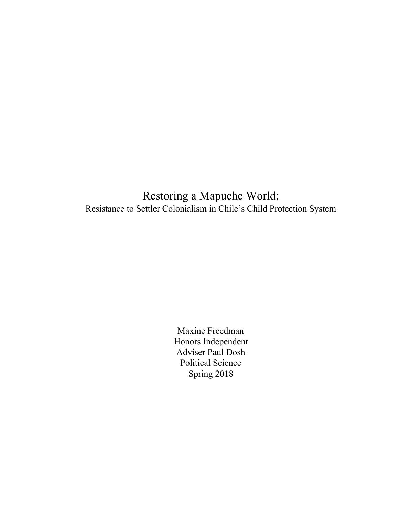Restoring a Mapuche World: Resistance to Settler Colonialism in Chile's Child Protection System

> Maxine Freedman Honors Independent Adviser Paul Dosh Political Science Spring 2018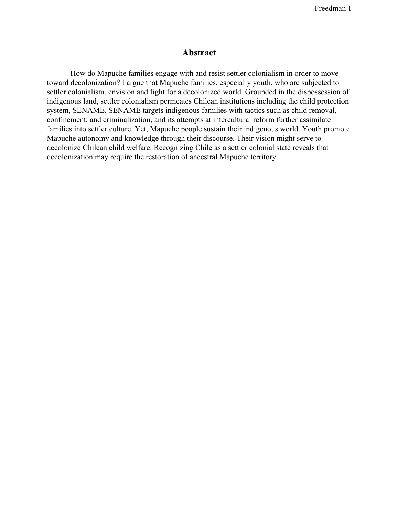#### **Abstract**

How do Mapuche families engage with and resist settler colonialism in order to move toward decolonization? I argue that Mapuche families, especially youth, who are subjected to settler colonialism, envision and fight for a decolonized world. Grounded in the dispossession of indigenous land, settler colonialism permeates Chilean institutions including the child protection system, SENAME. SENAME targets indigenous families with tactics such as child removal, confinement, and criminalization, and its attempts at intercultural reform further assimilate families into settler culture. Yet, Mapuche people sustain their indigenous world. Youth promote Mapuche autonomy and knowledge through their discourse. Their vision might serve to decolonize Chilean child welfare. Recognizing Chile as a settler colonial state reveals that decolonization may require the restoration of ancestral Mapuche territory.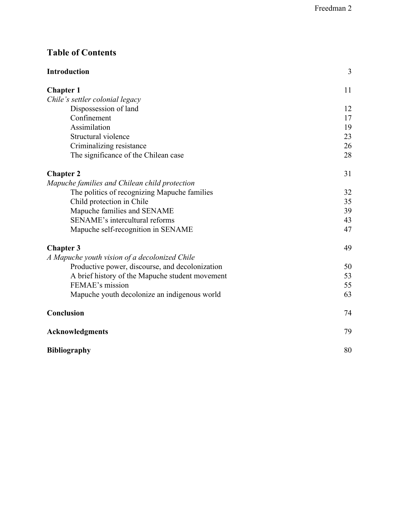## **Table of Contents**

| <b>Introduction</b>                             | 3  |
|-------------------------------------------------|----|
| <b>Chapter 1</b>                                | 11 |
| Chile's settler colonial legacy                 |    |
| Dispossession of land                           | 12 |
| Confinement                                     | 17 |
| Assimilation                                    | 19 |
| Structural violence                             | 23 |
| Criminalizing resistance                        | 26 |
| The significance of the Chilean case            | 28 |
| <b>Chapter 2</b>                                | 31 |
| Mapuche families and Chilean child protection   |    |
| The politics of recognizing Mapuche families    | 32 |
| Child protection in Chile                       | 35 |
| Mapuche families and SENAME                     | 39 |
| SENAME's intercultural reforms                  | 43 |
| Mapuche self-recognition in SENAME              | 47 |
| <b>Chapter 3</b>                                | 49 |
| A Mapuche youth vision of a decolonized Chile   |    |
| Productive power, discourse, and decolonization | 50 |
| A brief history of the Mapuche student movement | 53 |
| FEMAE's mission                                 | 55 |
| Mapuche youth decolonize an indigenous world    | 63 |
| Conclusion                                      | 74 |
| <b>Acknowledgments</b>                          | 79 |
| <b>Bibliography</b>                             | 80 |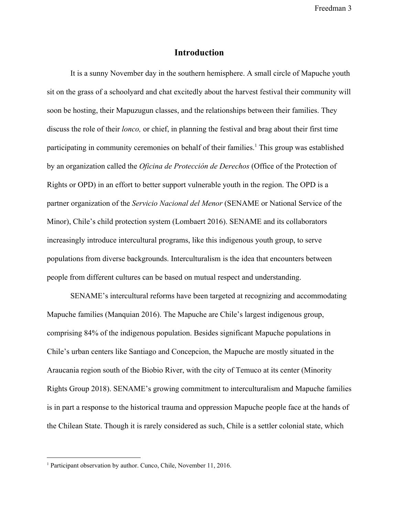#### **Introduction**

It is a sunny November day in the southern hemisphere. A small circle of Mapuche youth sit on the grass of a schoolyard and chat excitedly about the harvest festival their community will soon be hosting, their Mapuzugun classes, and the relationships between their families. They discuss the role of their *lonco,* or chief, in planning the festival and brag about their first time participating in community ceremonies on behalf of their families.<sup>1</sup> This group was established by an organization called the *Oficina de Protección de Derechos* (Office of the Protection of Rights or OPD) in an effort to better support vulnerable youth in the region. The OPD is a partner organization of the *Servicio Nacional del Menor* (SENAME or National Service of the Minor), Chile's child protection system (Lombaert 2016). SENAME and its collaborators increasingly introduce intercultural programs, like this indigenous youth group, to serve populations from diverse backgrounds. Interculturalism is the idea that encounters between people from different cultures can be based on mutual respect and understanding.

SENAME's intercultural reforms have been targeted at recognizing and accommodating Mapuche families (Manquian 2016). The Mapuche are Chile's largest indigenous group, comprising 84% of the indigenous population. Besides significant Mapuche populations in Chile's urban centers like Santiago and Concepcion, the Mapuche are mostly situated in the Araucania region south of the Biobio River, with the city of Temuco at its center (Minority Rights Group 2018). SENAME's growing commitment to interculturalism and Mapuche families is in part a response to the historical trauma and oppression Mapuche people face at the hands of the Chilean State. Though it is rarely considered as such, Chile is a settler colonial state, which

<sup>&</sup>lt;sup>1</sup> Participant observation by author. Cunco, Chile, November 11, 2016.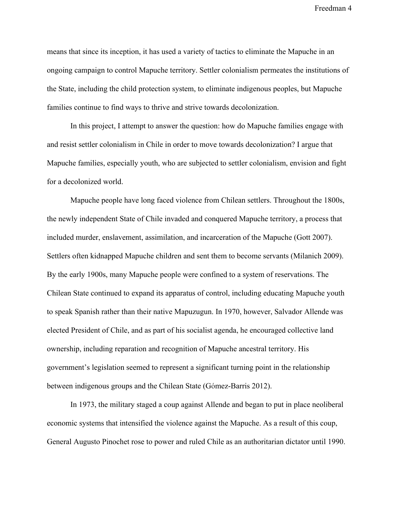means that since its inception, it has used a variety of tactics to eliminate the Mapuche in an ongoing campaign to control Mapuche territory. Settler colonialism permeates the institutions of the State, including the child protection system, to eliminate indigenous peoples, but Mapuche families continue to find ways to thrive and strive towards decolonization.

In this project, I attempt to answer the question: how do Mapuche families engage with and resist settler colonialism in Chile in order to move towards decolonization? I argue that Mapuche families, especially youth, who are subjected to settler colonialism, envision and fight for a decolonized world.

Mapuche people have long faced violence from Chilean settlers. Throughout the 1800s, the newly independent State of Chile invaded and conquered Mapuche territory, a process that included murder, enslavement, assimilation, and incarceration of the Mapuche (Gott 2007). Settlers often kidnapped Mapuche children and sent them to become servants (Milanich 2009). By the early 1900s, many Mapuche people were confined to a system of reservations. The Chilean State continued to expand its apparatus of control, including educating Mapuche youth to speak Spanish rather than their native Mapuzugun. In 1970, however, Salvador Allende was elected President of Chile, and as part of his socialist agenda, he encouraged collective land ownership, including reparation and recognition of Mapuche ancestral territory. His government's legislation seemed to represent a significant turning point in the relationship between indigenous groups and the Chilean State (Gómez-Barris 2012).

In 1973, the military staged a coup against Allende and began to put in place neoliberal economic systems that intensified the violence against the Mapuche. As a result of this coup, General Augusto Pinochet rose to power and ruled Chile as an authoritarian dictator until 1990.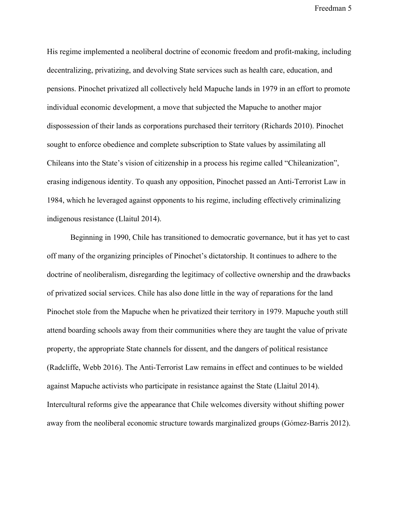His regime implemented a neoliberal doctrine of economic freedom and profit-making, including decentralizing, privatizing, and devolving State services such as health care, education, and pensions. Pinochet privatized all collectively held Mapuche lands in 1979 in an effort to promote individual economic development, a move that subjected the Mapuche to another major dispossession of their lands as corporations purchased their territory (Richards 2010). Pinochet sought to enforce obedience and complete subscription to State values by assimilating all Chileans into the State's vision of citizenship in a process his regime called "Chileanization", erasing indigenous identity. To quash any opposition, Pinochet passed an Anti-Terrorist Law in 1984, which he leveraged against opponents to his regime, including effectively criminalizing indigenous resistance (Llaitul 2014).

Beginning in 1990, Chile has transitioned to democratic governance, but it has yet to cast off many of the organizing principles of Pinochet's dictatorship. It continues to adhere to the doctrine of neoliberalism, disregarding the legitimacy of collective ownership and the drawbacks of privatized social services. Chile has also done little in the way of reparations for the land Pinochet stole from the Mapuche when he privatized their territory in 1979. Mapuche youth still attend boarding schools away from their communities where they are taught the value of private property, the appropriate State channels for dissent, and the dangers of political resistance (Radcliffe, Webb 2016). The Anti-Terrorist Law remains in effect and continues to be wielded against Mapuche activists who participate in resistance against the State (Llaitul 2014). Intercultural reforms give the appearance that Chile welcomes diversity without shifting power away from the neoliberal economic structure towards marginalized groups (Gómez-Barris 2012).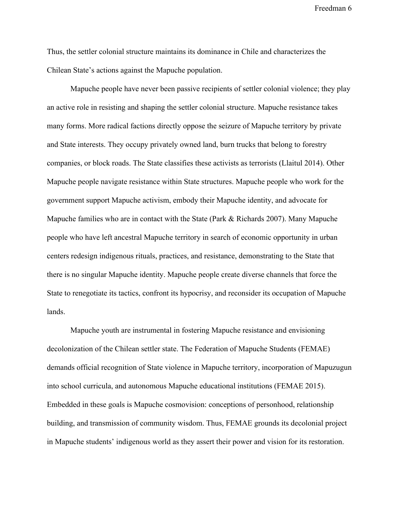Thus, the settler colonial structure maintains its dominance in Chile and characterizes the Chilean State's actions against the Mapuche population.

Mapuche people have never been passive recipients of settler colonial violence; they play an active role in resisting and shaping the settler colonial structure. Mapuche resistance takes many forms. More radical factions directly oppose the seizure of Mapuche territory by private and State interests. They occupy privately owned land, burn trucks that belong to forestry companies, or block roads. The State classifies these activists as terrorists (Llaitul 2014). Other Mapuche people navigate resistance within State structures. Mapuche people who work for the government support Mapuche activism, embody their Mapuche identity, and advocate for Mapuche families who are in contact with the State (Park & Richards 2007). Many Mapuche people who have left ancestral Mapuche territory in search of economic opportunity in urban centers redesign indigenous rituals, practices, and resistance, demonstrating to the State that there is no singular Mapuche identity. Mapuche people create diverse channels that force the State to renegotiate its tactics, confront its hypocrisy, and reconsider its occupation of Mapuche lands.

Mapuche youth are instrumental in fostering Mapuche resistance and envisioning decolonization of the Chilean settler state. The Federation of Mapuche Students (FEMAE) demands official recognition of State violence in Mapuche territory, incorporation of Mapuzugun into school curricula, and autonomous Mapuche educational institutions (FEMAE 2015). Embedded in these goals is Mapuche cosmovision: conceptions of personhood, relationship building, and transmission of community wisdom. Thus, FEMAE grounds its decolonial project in Mapuche students' indigenous world as they assert their power and vision for its restoration.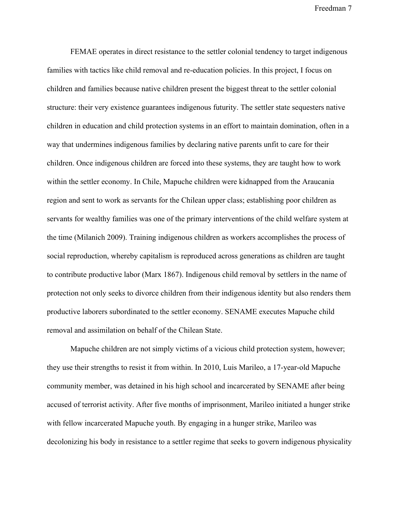FEMAE operates in direct resistance to the settler colonial tendency to target indigenous families with tactics like child removal and re-education policies. In this project, I focus on children and families because native children present the biggest threat to the settler colonial structure: their very existence guarantees indigenous futurity. The settler state sequesters native children in education and child protection systems in an effort to maintain domination, often in a way that undermines indigenous families by declaring native parents unfit to care for their children. Once indigenous children are forced into these systems, they are taught how to work within the settler economy. In Chile, Mapuche children were kidnapped from the Araucania region and sent to work as servants for the Chilean upper class; establishing poor children as servants for wealthy families was one of the primary interventions of the child welfare system at the time (Milanich 2009). Training indigenous children as workers accomplishes the process of social reproduction, whereby capitalism is reproduced across generations as children are taught to contribute productive labor (Marx 1867). Indigenous child removal by settlers in the name of protection not only seeks to divorce children from their indigenous identity but also renders them productive laborers subordinated to the settler economy. SENAME executes Mapuche child removal and assimilation on behalf of the Chilean State.

Mapuche children are not simply victims of a vicious child protection system, however; they use their strengths to resist it from within. In 2010, Luis Marileo, a 17-year-old Mapuche community member, was detained in his high school and incarcerated by SENAME after being accused of terrorist activity. After five months of imprisonment, Marileo initiated a hunger strike with fellow incarcerated Mapuche youth. By engaging in a hunger strike, Marileo was decolonizing his body in resistance to a settler regime that seeks to govern indigenous physicality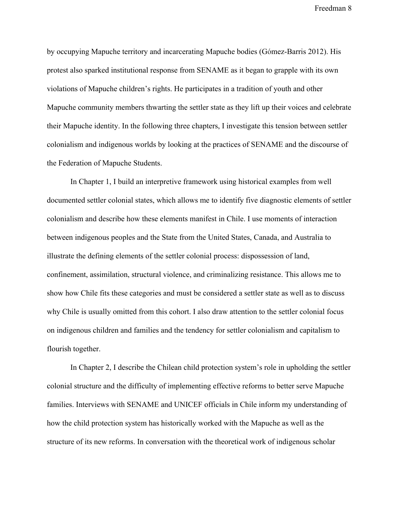by occupying Mapuche territory and incarcerating Mapuche bodies (Gómez-Barris 2012). His protest also sparked institutional response from SENAME as it began to grapple with its own violations of Mapuche children's rights. He participates in a tradition of youth and other Mapuche community members thwarting the settler state as they lift up their voices and celebrate their Mapuche identity. In the following three chapters, I investigate this tension between settler colonialism and indigenous worlds by looking at the practices of SENAME and the discourse of the Federation of Mapuche Students.

In Chapter 1, I build an interpretive framework using historical examples from well documented settler colonial states, which allows me to identify five diagnostic elements of settler colonialism and describe how these elements manifest in Chile. I use moments of interaction between indigenous peoples and the State from the United States, Canada, and Australia to illustrate the defining elements of the settler colonial process: dispossession of land, confinement, assimilation, structural violence, and criminalizing resistance. This allows me to show how Chile fits these categories and must be considered a settler state as well as to discuss why Chile is usually omitted from this cohort. I also draw attention to the settler colonial focus on indigenous children and families and the tendency for settler colonialism and capitalism to flourish together.

In Chapter 2, I describe the Chilean child protection system's role in upholding the settler colonial structure and the difficulty of implementing effective reforms to better serve Mapuche families. Interviews with SENAME and UNICEF officials in Chile inform my understanding of how the child protection system has historically worked with the Mapuche as well as the structure of its new reforms. In conversation with the theoretical work of indigenous scholar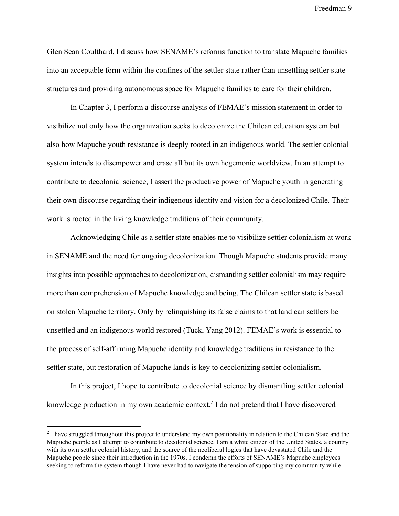Glen Sean Coulthard, I discuss how SENAME's reforms function to translate Mapuche families into an acceptable form within the confines of the settler state rather than unsettling settler state structures and providing autonomous space for Mapuche families to care for their children.

In Chapter 3, I perform a discourse analysis of FEMAE's mission statement in order to visibilize not only how the organization seeks to decolonize the Chilean education system but also how Mapuche youth resistance is deeply rooted in an indigenous world. The settler colonial system intends to disempower and erase all but its own hegemonic worldview. In an attempt to contribute to decolonial science, I assert the productive power of Mapuche youth in generating their own discourse regarding their indigenous identity and vision for a decolonized Chile. Their work is rooted in the living knowledge traditions of their community.

Acknowledging Chile as a settler state enables me to visibilize settler colonialism at work in SENAME and the need for ongoing decolonization. Though Mapuche students provide many insights into possible approaches to decolonization, dismantling settler colonialism may require more than comprehension of Mapuche knowledge and being. The Chilean settler state is based on stolen Mapuche territory. Only by relinquishing its false claims to that land can settlers be unsettled and an indigenous world restored (Tuck, Yang 2012). FEMAE's work is essential to the process of self-affirming Mapuche identity and knowledge traditions in resistance to the settler state, but restoration of Mapuche lands is key to decolonizing settler colonialism.

In this project, I hope to contribute to decolonial science by dismantling settler colonial knowledge production in my own academic context.<sup>2</sup> I do not pretend that I have discovered

<sup>&</sup>lt;sup>2</sup> I have struggled throughout this project to understand my own positionality in relation to the Chilean State and the Mapuche people as I attempt to contribute to decolonial science. I am a white citizen of the United States, a country with its own settler colonial history, and the source of the neoliberal logics that have devastated Chile and the Mapuche people since their introduction in the 1970s. I condemn the efforts of SENAME's Mapuche employees seeking to reform the system though I have never had to navigate the tension of supporting my community while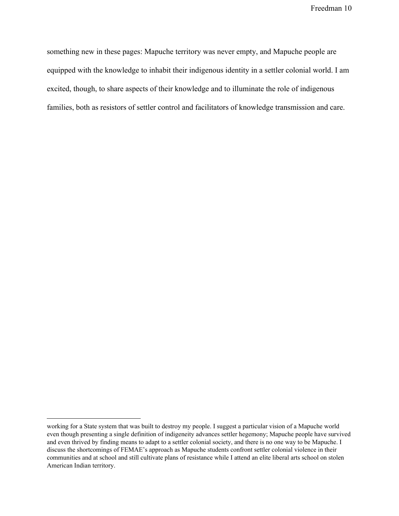something new in these pages: Mapuche territory was never empty, and Mapuche people are equipped with the knowledge to inhabit their indigenous identity in a settler colonial world. I am excited, though, to share aspects of their knowledge and to illuminate the role of indigenous families, both as resistors of settler control and facilitators of knowledge transmission and care.

working for a State system that was built to destroy my people. I suggest a particular vision of a Mapuche world even though presenting a single definition of indigeneity advances settler hegemony; Mapuche people have survived and even thrived by finding means to adapt to a settler colonial society, and there is no one way to be Mapuche. I discuss the shortcomings of FEMAE's approach as Mapuche students confront settler colonial violence in their communities and at school and still cultivate plans of resistance while I attend an elite liberal arts school on stolen American Indian territory.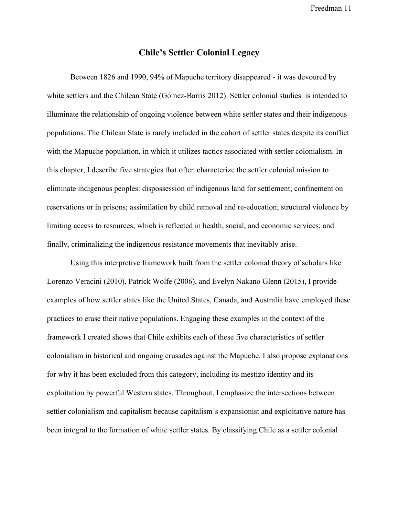#### **Chile's Settler Colonial Legacy**

Between 1826 and 1990, 94% of Mapuche territory disappeared - it was devoured by white settlers and the Chilean State (Gómez-Barris 2012). Settler colonial studies is intended to illuminate the relationship of ongoing violence between white settler states and their indigenous populations. The Chilean State is rarely included in the cohort of settler states despite its conflict with the Mapuche population, in which it utilizes tactics associated with settler colonialism. In this chapter, I describe five strategies that often characterize the settler colonial mission to eliminate indigenous peoples: dispossession of indigenous land for settlement; confinement on reservations or in prisons; assimilation by child removal and re-education; structural violence by limiting access to resources; which is reflected in health, social, and economic services; and finally, criminalizing the indigenous resistance movements that inevitably arise.

Using this interpretive framework built from the settler colonial theory of scholars like Lorenzo Veracini (2010), Patrick Wolfe (2006), and Evelyn Nakano Glenn (2015), I provide examples of how settler states like the United States, Canada, and Australia have employed these practices to erase their native populations. Engaging these examples in the context of the framework I created shows that Chile exhibits each of these five characteristics of settler colonialism in historical and ongoing crusades against the Mapuche. I also propose explanations for why it has been excluded from this category, including its mestizo identity and its exploitation by powerful Western states. Throughout, I emphasize the intersections between settler colonialism and capitalism because capitalism's expansionist and exploitative nature has been integral to the formation of white settler states. By classifying Chile as a settler colonial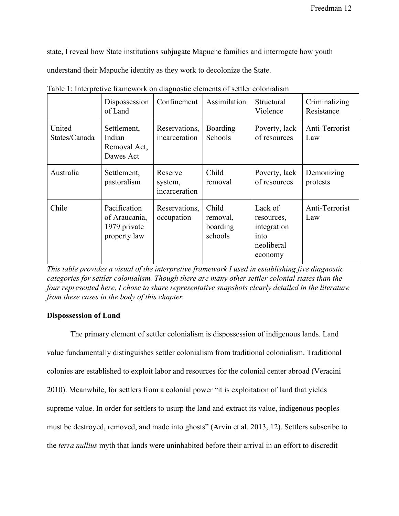state, I reveal how State institutions subjugate Mapuche families and interrogate how youth

understand their Mapuche identity as they work to decolonize the State.

|                         | Dispossession<br>of Land                                      | Confinement                         | Assimilation                             | Structural<br>Violence                                                | Criminalizing<br>Resistance |
|-------------------------|---------------------------------------------------------------|-------------------------------------|------------------------------------------|-----------------------------------------------------------------------|-----------------------------|
| United<br>States/Canada | Settlement,<br>Indian<br>Removal Act,<br>Dawes Act            | Reservations,<br>incarceration      | Boarding<br>Schools                      | Poverty, lack<br>of resources                                         | Anti-Terrorist<br>Law       |
| Australia               | Settlement,<br>pastoralism                                    | Reserve<br>system,<br>incarceration | Child<br>removal                         | Poverty, lack<br>of resources                                         | Demonizing<br>protests      |
| Chile                   | Pacification<br>of Araucania,<br>1979 private<br>property law | Reservations,<br>occupation         | Child<br>removal,<br>boarding<br>schools | Lack of<br>resources,<br>integration<br>into<br>neoliberal<br>economy | Anti-Terrorist<br>Law       |

Table 1: Interpretive framework on diagnostic elements of settler colonialism

*This table provides a visual of the interpretive framework I used in establishing five diagnostic categories for settler colonialism. Though there are many other settler colonial states than the four represented here, I chose to share representative snapshots clearly detailed in the literature from these cases in the body of this chapter.*

#### **Dispossession of Land**

The primary element of settler colonialism is dispossession of indigenous lands. Land value fundamentally distinguishes settler colonialism from traditional colonialism. Traditional colonies are established to exploit labor and resources for the colonial center abroad (Veracini 2010). Meanwhile, for settlers from a colonial power "it is exploitation of land that yields supreme value. In order for settlers to usurp the land and extract its value, indigenous peoples must be destroyed, removed, and made into ghosts" (Arvin et al. 2013, 12). Settlers subscribe to the *terra nullius* myth that lands were uninhabited before their arrival in an effort to discredit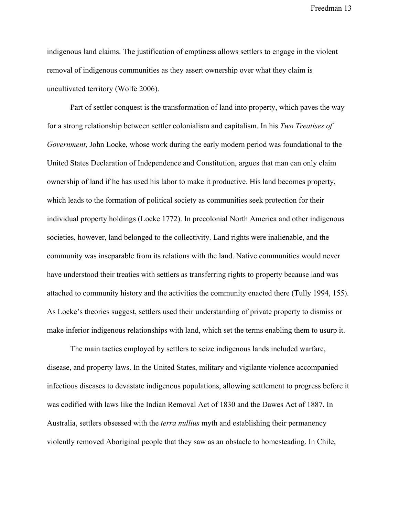indigenous land claims. The justification of emptiness allows settlers to engage in the violent removal of indigenous communities as they assert ownership over what they claim is uncultivated territory (Wolfe 2006).

Part of settler conquest is the transformation of land into property, which paves the way for a strong relationship between settler colonialism and capitalism. In his *Two Treatises of Government*, John Locke, whose work during the early modern period was foundational to the United States Declaration of Independence and Constitution, argues that man can only claim ownership of land if he has used his labor to make it productive. His land becomes property, which leads to the formation of political society as communities seek protection for their individual property holdings (Locke 1772). In precolonial North America and other indigenous societies, however, land belonged to the collectivity. Land rights were inalienable, and the community was inseparable from its relations with the land. Native communities would never have understood their treaties with settlers as transferring rights to property because land was attached to community history and the activities the community enacted there (Tully 1994, 155). As Locke's theories suggest, settlers used their understanding of private property to dismiss or make inferior indigenous relationships with land, which set the terms enabling them to usurp it.

The main tactics employed by settlers to seize indigenous lands included warfare, disease, and property laws. In the United States, military and vigilante violence accompanied infectious diseases to devastate indigenous populations, allowing settlement to progress before it was codified with laws like the Indian Removal Act of 1830 and the Dawes Act of 1887. In Australia, settlers obsessed with the *terra nullius* myth and establishing their permanency violently removed Aboriginal people that they saw as an obstacle to homesteading. In Chile,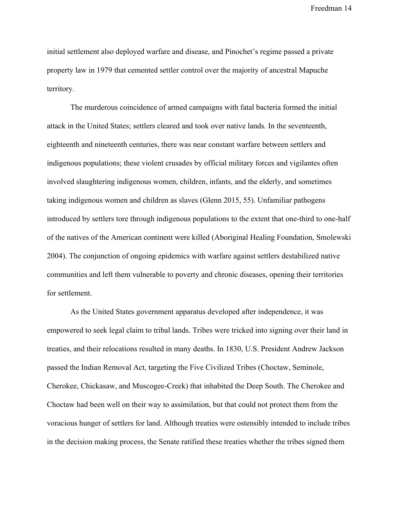initial settlement also deployed warfare and disease, and Pinochet's regime passed a private property law in 1979 that cemented settler control over the majority of ancestral Mapuche territory.

The murderous coincidence of armed campaigns with fatal bacteria formed the initial attack in the United States; settlers cleared and took over native lands. In the seventeenth, eighteenth and nineteenth centuries, there was near constant warfare between settlers and indigenous populations; these violent crusades by official military forces and vigilantes often involved slaughtering indigenous women, children, infants, and the elderly, and sometimes taking indigenous women and children as slaves (Glenn 2015, 55). Unfamiliar pathogens introduced by settlers tore through indigenous populations to the extent that one-third to one-half of the natives of the American continent were killed (Aboriginal Healing Foundation, Smolewski 2004). The conjunction of ongoing epidemics with warfare against settlers destabilized native communities and left them vulnerable to poverty and chronic diseases, opening their territories for settlement.

As the United States government apparatus developed after independence, it was empowered to seek legal claim to tribal lands. Tribes were tricked into signing over their land in treaties, and their relocations resulted in many deaths. In 1830, U.S. President Andrew Jackson passed the Indian Removal Act, targeting the Five Civilized Tribes (Choctaw, Seminole, Cherokee, Chickasaw, and Muscogee-Creek) that inhabited the Deep South. The Cherokee and Choctaw had been well on their way to assimilation, but that could not protect them from the voracious hunger of settlers for land. Although treaties were ostensibly intended to include tribes in the decision making process, the Senate ratified these treaties whether the tribes signed them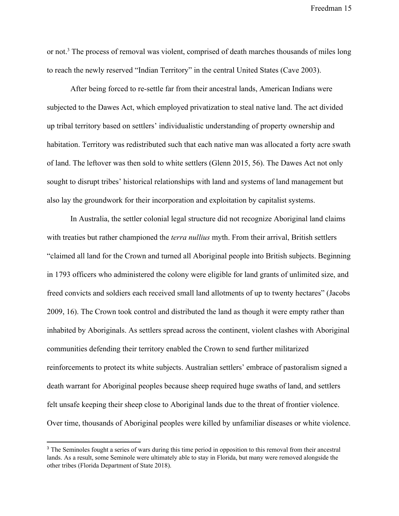or not.<sup>3</sup> The process of removal was violent, comprised of death marches thousands of miles long to reach the newly reserved "Indian Territory" in the central United States (Cave 2003).

After being forced to re-settle far from their ancestral lands, American Indians were subjected to the Dawes Act, which employed privatization to steal native land. The act divided up tribal territory based on settlers' individualistic understanding of property ownership and habitation. Territory was redistributed such that each native man was allocated a forty acre swath of land. The leftover was then sold to white settlers (Glenn 2015, 56). The Dawes Act not only sought to disrupt tribes' historical relationships with land and systems of land management but also lay the groundwork for their incorporation and exploitation by capitalist systems.

In Australia, the settler colonial legal structure did not recognize Aboriginal land claims with treaties but rather championed the *terra nullius* myth. From their arrival, British settlers "claimed all land for the Crown and turned all Aboriginal people into British subjects. Beginning in 1793 officers who administered the colony were eligible for land grants of unlimited size, and freed convicts and soldiers each received small land allotments of up to twenty hectares" (Jacobs 2009, 16). The Crown took control and distributed the land as though it were empty rather than inhabited by Aboriginals. As settlers spread across the continent, violent clashes with Aboriginal communities defending their territory enabled the Crown to send further militarized reinforcements to protect its white subjects. Australian settlers' embrace of pastoralism signed a death warrant for Aboriginal peoples because sheep required huge swaths of land, and settlers felt unsafe keeping their sheep close to Aboriginal lands due to the threat of frontier violence. Over time, thousands of Aboriginal peoples were killed by unfamiliar diseases or white violence.

<sup>&</sup>lt;sup>3</sup> The Seminoles fought a series of wars during this time period in opposition to this removal from their ancestral lands. As a result, some Seminole were ultimately able to stay in Florida, but many were removed alongside the other tribes (Florida Department of State 2018).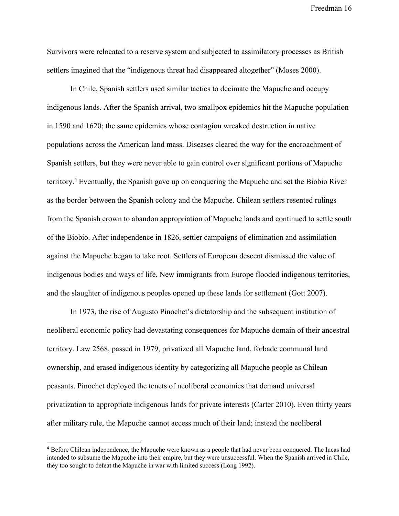Survivors were relocated to a reserve system and subjected to assimilatory processes as British settlers imagined that the "indigenous threat had disappeared altogether" (Moses 2000).

In Chile, Spanish settlers used similar tactics to decimate the Mapuche and occupy indigenous lands. After the Spanish arrival, two smallpox epidemics hit the Mapuche population in 1590 and 1620; the same epidemics whose contagion wreaked destruction in native populations across the American land mass. Diseases cleared the way for the encroachment of Spanish settlers, but they were never able to gain control over significant portions of Mapuche territory. Eventually, the Spanish gave up on conquering the Mapuche and set the Biobio River <sup>4</sup> as the border between the Spanish colony and the Mapuche. Chilean settlers resented rulings from the Spanish crown to abandon appropriation of Mapuche lands and continued to settle south of the Biobio. After independence in 1826, settler campaigns of elimination and assimilation against the Mapuche began to take root. Settlers of European descent dismissed the value of indigenous bodies and ways of life. New immigrants from Europe flooded indigenous territories, and the slaughter of indigenous peoples opened up these lands for settlement (Gott 2007).

In 1973, the rise of Augusto Pinochet's dictatorship and the subsequent institution of neoliberal economic policy had devastating consequences for Mapuche domain of their ancestral territory. Law 2568, passed in 1979, privatized all Mapuche land, forbade communal land ownership, and erased indigenous identity by categorizing all Mapuche people as Chilean peasants. Pinochet deployed the tenets of neoliberal economics that demand universal privatization to appropriate indigenous lands for private interests (Carter 2010). Even thirty years after military rule, the Mapuche cannot access much of their land; instead the neoliberal

<sup>4</sup> Before Chilean independence, the Mapuche were known as a people that had never been conquered. The Incas had intended to subsume the Mapuche into their empire, but they were unsuccessful. When the Spanish arrived in Chile, they too sought to defeat the Mapuche in war with limited success (Long 1992).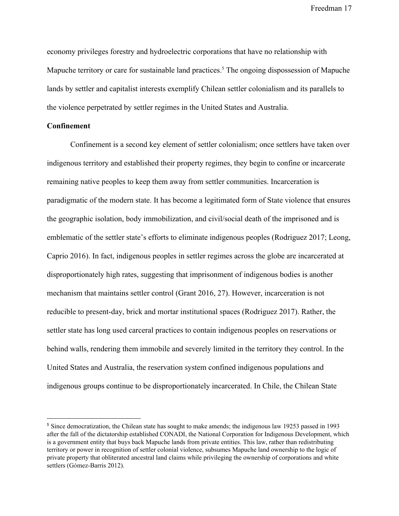economy privileges forestry and hydroelectric corporations that have no relationship with Mapuche territory or care for sustainable land practices.<sup>5</sup> The ongoing dispossession of Mapuche lands by settler and capitalist interests exemplify Chilean settler colonialism and its parallels to the violence perpetrated by settler regimes in the United States and Australia.

#### **Confinement**

Confinement is a second key element of settler colonialism; once settlers have taken over indigenous territory and established their property regimes, they begin to confine or incarcerate remaining native peoples to keep them away from settler communities. Incarceration is paradigmatic of the modern state. It has become a legitimated form of State violence that ensures the geographic isolation, body immobilization, and civil/social death of the imprisoned and is emblematic of the settler state's efforts to eliminate indigenous peoples (Rodriguez 2017; Leong, Caprio 2016). In fact, indigenous peoples in settler regimes across the globe are incarcerated at disproportionately high rates, suggesting that imprisonment of indigenous bodies is another mechanism that maintains settler control (Grant 2016, 27). However, incarceration is not reducible to present-day, brick and mortar institutional spaces (Rodriguez 2017). Rather, the settler state has long used carceral practices to contain indigenous peoples on reservations or behind walls, rendering them immobile and severely limited in the territory they control. In the United States and Australia, the reservation system confined indigenous populations and indigenous groups continue to be disproportionately incarcerated. In Chile, the Chilean State

<sup>5</sup> Since democratization, the Chilean state has sought to make amends; the indigenous law 19253 passed in 1993 after the fall of the dictatorship established CONADI, the National Corporation for Indigenous Development, which is a government entity that buys back Mapuche lands from private entities. This law, rather than redistributing territory or power in recognition of settler colonial violence, subsumes Mapuche land ownership to the logic of private property that obliterated ancestral land claims while privileging the ownership of corporations and white settlers (Gómez-Barris 2012).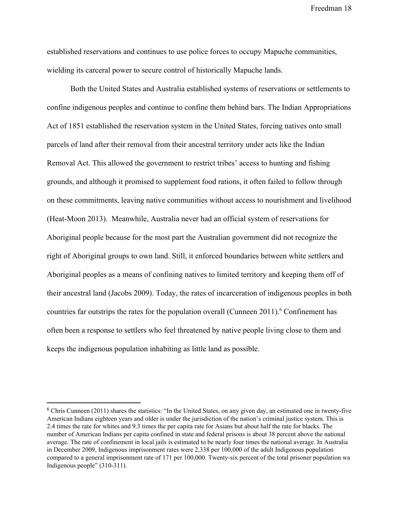established reservations and continues to use police forces to occupy Mapuche communities, wielding its carceral power to secure control of historically Mapuche lands.

Both the United States and Australia established systems of reservations or settlements to confine indigenous peoples and continue to confine them behind bars. The Indian Appropriations Act of 1851 established the reservation system in the United States, forcing natives onto small parcels of land after their removal from their ancestral territory under acts like the Indian Removal Act. This allowed the government to restrict tribes' access to hunting and fishing grounds, and although it promised to supplement food rations, it often failed to follow through on these commitments, leaving native communities without access to nourishment and livelihood (Heat-Moon 2013). Meanwhile, Australia never had an official system of reservations for Aboriginal people because for the most part the Australian government did not recognize the right of Aboriginal groups to own land. Still, it enforced boundaries between white settlers and Aboriginal peoples as a means of confining natives to limited territory and keeping them off of their ancestral land (Jacobs 2009). Today, the rates of incarceration of indigenous peoples in both countries far outstrips the rates for the population overall (Cunneen 2011).<sup>6</sup> Confinement has often been a response to settlers who feel threatened by native people living close to them and keeps the indigenous population inhabiting as little land as possible.

 $6$  Chris Cunneen (2011) shares the statistics: "In the United States, on any given day, an estimated one in twenty-five American Indians eighteen years and older is under the jurisdiction of the nation's criminal justice system. This is 2.4 times the rate for whites and 9.3 times the per capita rate for Asians but about half the rate for blacks. The number of American Indians per capita confined in state and federal prisons is about 38 percent above the national average. The rate of confinement in local jails is estimated to be nearly four times the national average. In Australia in December 2009, Indigenous imprisonment rates were 2,338 per 100,000 of the adult Indigenous population compared to a general imprisonment rate of 171 per 100,000. Twenty-six percent of the total prisoner population wa Indigenous people" (310-311).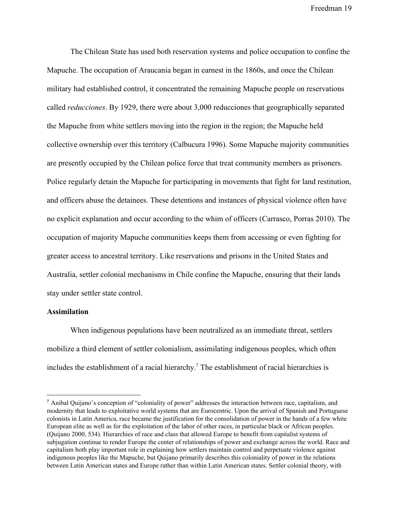The Chilean State has used both reservation systems and police occupation to confine the Mapuche. The occupation of Araucania began in earnest in the 1860s, and once the Chilean military had established control, it concentrated the remaining Mapuche people on reservations called *reducciones*. By 1929, there were about 3,000 reducciones that geographically separated the Mapuche from white settlers moving into the region in the region; the Mapuche held collective ownership over this territory (Calbucura 1996). Some Mapuche majority communities are presently occupied by the Chilean police force that treat community members as prisoners. Police regularly detain the Mapuche for participating in movements that fight for land restitution, and officers abuse the detainees. These detentions and instances of physical violence often have no explicit explanation and occur according to the whim of officers (Carrasco, Porras 2010). The occupation of majority Mapuche communities keeps them from accessing or even fighting for greater access to ancestral territory. Like reservations and prisons in the United States and Australia, settler colonial mechanisms in Chile confine the Mapuche, ensuring that their lands stay under settler state control.

#### **Assimilation**

When indigenous populations have been neutralized as an immediate threat, settlers mobilize a third element of settler colonialism, assimilating indigenous peoples, which often includes the establishment of a racial hierarchy.<sup>7</sup> The establishment of racial hierarchies is

<sup>7</sup> Anibal Quijano's conception of "coloniality of power" addresses the interaction between race, capitalism, and modernity that leads to exploitative world systems that are Eurocentric. Upon the arrival of Spanish and Portuguese colonists in Latin America, race became the justification for the consolidation of power in the hands of a few white European elite as well as for the exploitation of the labor of other races, in particular black or African peoples. (Quijano 2000, 534). Hierarchies of race and class that allowed Europe to benefit from capitalist systems of subjugation continue to render Europe the center of relationships of power and exchange across the world. Race and capitalism both play important role in explaining how settlers maintain control and perpetuate violence against indigenous peoples like the Mapuche, but Quijano primarily describes this coloniality of power in the relations between Latin American states and Europe rather than within Latin American states. Settler colonial theory, with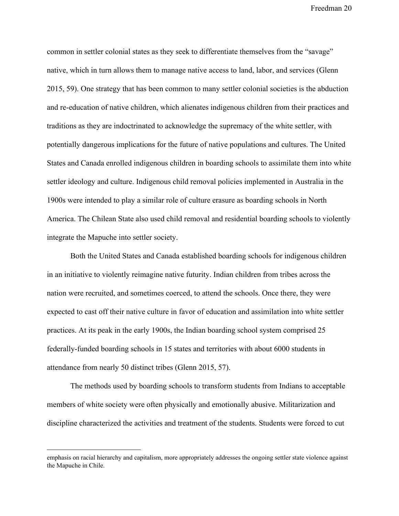common in settler colonial states as they seek to differentiate themselves from the "savage" native, which in turn allows them to manage native access to land, labor, and services (Glenn 2015, 59). One strategy that has been common to many settler colonial societies is the abduction and re-education of native children, which alienates indigenous children from their practices and traditions as they are indoctrinated to acknowledge the supremacy of the white settler, with potentially dangerous implications for the future of native populations and cultures. The United States and Canada enrolled indigenous children in boarding schools to assimilate them into white settler ideology and culture. Indigenous child removal policies implemented in Australia in the 1900s were intended to play a similar role of culture erasure as boarding schools in North America. The Chilean State also used child removal and residential boarding schools to violently integrate the Mapuche into settler society.

Both the United States and Canada established boarding schools for indigenous children in an initiative to violently reimagine native futurity. Indian children from tribes across the nation were recruited, and sometimes coerced, to attend the schools. Once there, they were expected to cast off their native culture in favor of education and assimilation into white settler practices. At its peak in the early 1900s, the Indian boarding school system comprised 25 federally-funded boarding schools in 15 states and territories with about 6000 students in attendance from nearly 50 distinct tribes (Glenn 2015, 57).

The methods used by boarding schools to transform students from Indians to acceptable members of white society were often physically and emotionally abusive. Militarization and discipline characterized the activities and treatment of the students. Students were forced to cut

emphasis on racial hierarchy and capitalism, more appropriately addresses the ongoing settler state violence against the Mapuche in Chile.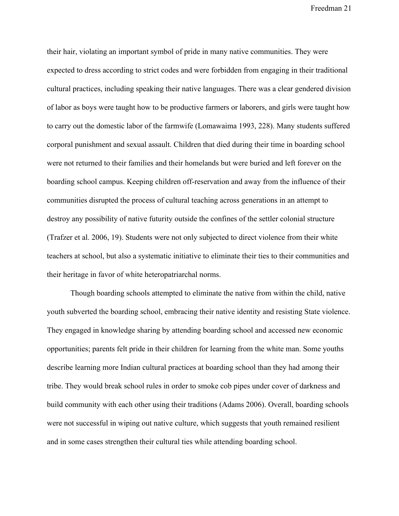their hair, violating an important symbol of pride in many native communities. They were expected to dress according to strict codes and were forbidden from engaging in their traditional cultural practices, including speaking their native languages. There was a clear gendered division of labor as boys were taught how to be productive farmers or laborers, and girls were taught how to carry out the domestic labor of the farmwife (Lomawaima 1993, 228). Many students suffered corporal punishment and sexual assault. Children that died during their time in boarding school were not returned to their families and their homelands but were buried and left forever on the boarding school campus. Keeping children off-reservation and away from the influence of their communities disrupted the process of cultural teaching across generations in an attempt to destroy any possibility of native futurity outside the confines of the settler colonial structure (Trafzer et al. 2006, 19). Students were not only subjected to direct violence from their white teachers at school, but also a systematic initiative to eliminate their ties to their communities and their heritage in favor of white heteropatriarchal norms.

Though boarding schools attempted to eliminate the native from within the child, native youth subverted the boarding school, embracing their native identity and resisting State violence. They engaged in knowledge sharing by attending boarding school and accessed new economic opportunities; parents felt pride in their children for learning from the white man. Some youths describe learning more Indian cultural practices at boarding school than they had among their tribe. They would break school rules in order to smoke cob pipes under cover of darkness and build community with each other using their traditions (Adams 2006). Overall, boarding schools were not successful in wiping out native culture, which suggests that youth remained resilient and in some cases strengthen their cultural ties while attending boarding school.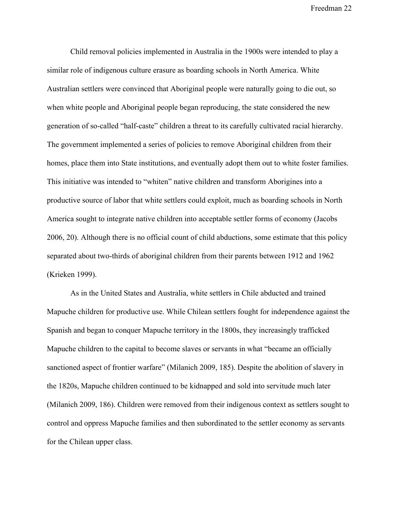Child removal policies implemented in Australia in the 1900s were intended to play a similar role of indigenous culture erasure as boarding schools in North America. White Australian settlers were convinced that Aboriginal people were naturally going to die out, so when white people and Aboriginal people began reproducing, the state considered the new generation of so-called "half-caste" children a threat to its carefully cultivated racial hierarchy. The government implemented a series of policies to remove Aboriginal children from their homes, place them into State institutions, and eventually adopt them out to white foster families. This initiative was intended to "whiten" native children and transform Aborigines into a productive source of labor that white settlers could exploit, much as boarding schools in North America sought to integrate native children into acceptable settler forms of economy (Jacobs 2006, 20). Although there is no official count of child abductions, some estimate that this policy separated about two-thirds of aboriginal children from their parents between 1912 and 1962 (Krieken 1999).

As in the United States and Australia, white settlers in Chile abducted and trained Mapuche children for productive use. While Chilean settlers fought for independence against the Spanish and began to conquer Mapuche territory in the 1800s, they increasingly trafficked Mapuche children to the capital to become slaves or servants in what "became an officially sanctioned aspect of frontier warfare" (Milanich 2009, 185). Despite the abolition of slavery in the 1820s, Mapuche children continued to be kidnapped and sold into servitude much later (Milanich 2009, 186). Children were removed from their indigenous context as settlers sought to control and oppress Mapuche families and then subordinated to the settler economy as servants for the Chilean upper class.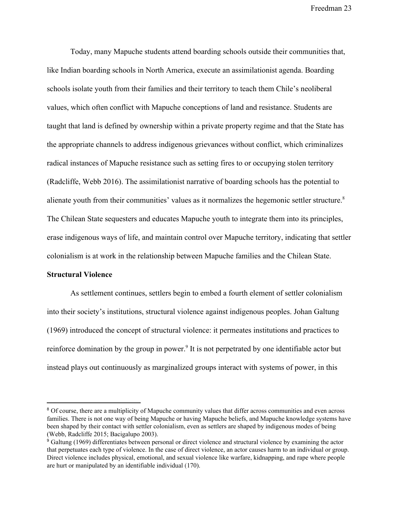Today, many Mapuche students attend boarding schools outside their communities that, like Indian boarding schools in North America, execute an assimilationist agenda. Boarding schools isolate youth from their families and their territory to teach them Chile's neoliberal values, which often conflict with Mapuche conceptions of land and resistance. Students are taught that land is defined by ownership within a private property regime and that the State has the appropriate channels to address indigenous grievances without conflict, which criminalizes radical instances of Mapuche resistance such as setting fires to or occupying stolen territory (Radcliffe, Webb 2016). The assimilationist narrative of boarding schools has the potential to alienate youth from their communities' values as it normalizes the hegemonic settler structure.<sup>8</sup> The Chilean State sequesters and educates Mapuche youth to integrate them into its principles, erase indigenous ways of life, and maintain control over Mapuche territory, indicating that settler colonialism is at work in the relationship between Mapuche families and the Chilean State.

#### **Structural Violence**

As settlement continues, settlers begin to embed a fourth element of settler colonialism into their society's institutions, structural violence against indigenous peoples. Johan Galtung (1969) introduced the concept of structural violence: it permeates institutions and practices to reinforce domination by the group in power.<sup>9</sup> It is not perpetrated by one identifiable actor but instead plays out continuously as marginalized groups interact with systems of power, in this

<sup>&</sup>lt;sup>8</sup> Of course, there are a multiplicity of Mapuche community values that differ across communities and even across families. There is not one way of being Mapuche or having Mapuche beliefs, and Mapuche knowledge systems have been shaped by their contact with settler colonialism, even as settlers are shaped by indigenous modes of being (Webb, Radcliffe 2015; Bacigalupo 2003).

<sup>9</sup> Galtung (1969) differentiates between personal or direct violence and structural violence by examining the actor that perpetuates each type of violence. In the case of direct violence, an actor causes harm to an individual or group. Direct violence includes physical, emotional, and sexual violence like warfare, kidnapping, and rape where people are hurt or manipulated by an identifiable individual (170).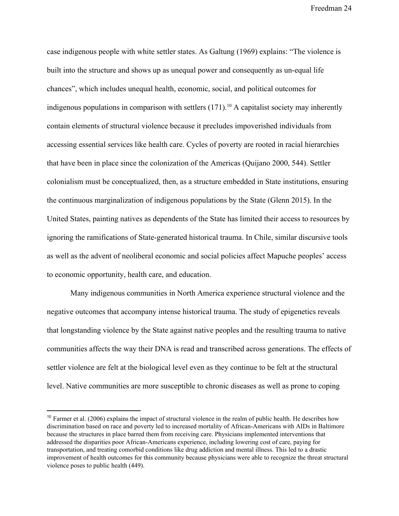case indigenous people with white settler states. As Galtung (1969) explains: "The violence is built into the structure and shows up as unequal power and consequently as un-equal life chances", which includes unequal health, economic, social, and political outcomes for indigenous populations in comparison with settlers  $(171)$ .<sup>10</sup> A capitalist society may inherently contain elements of structural violence because it precludes impoverished individuals from accessing essential services like health care. Cycles of poverty are rooted in racial hierarchies that have been in place since the colonization of the Americas (Quijano 2000, 544). Settler colonialism must be conceptualized, then, as a structure embedded in State institutions, ensuring the continuous marginalization of indigenous populations by the State (Glenn 2015). In the United States, painting natives as dependents of the State has limited their access to resources by ignoring the ramifications of State-generated historical trauma. In Chile, similar discursive tools as well as the advent of neoliberal economic and social policies affect Mapuche peoples' access to economic opportunity, health care, and education.

Many indigenous communities in North America experience structural violence and the negative outcomes that accompany intense historical trauma. The study of epigenetics reveals that longstanding violence by the State against native peoples and the resulting trauma to native communities affects the way their DNA is read and transcribed across generations. The effects of settler violence are felt at the biological level even as they continue to be felt at the structural level. Native communities are more susceptible to chronic diseases as well as prone to coping

 $10$  Farmer et al. (2006) explains the impact of structural violence in the realm of public health. He describes how discrimination based on race and poverty led to increased mortality of African-Americans with AIDs in Baltimore because the structures in place barred them from receiving care. Physicians implemented interventions that addressed the disparities poor African-Americans experience, including lowering cost of care, paying for transportation, and treating comorbid conditions like drug addiction and mental illness. This led to a drastic improvement of health outcomes for this community because physicians were able to recognize the threat structural violence poses to public health (449).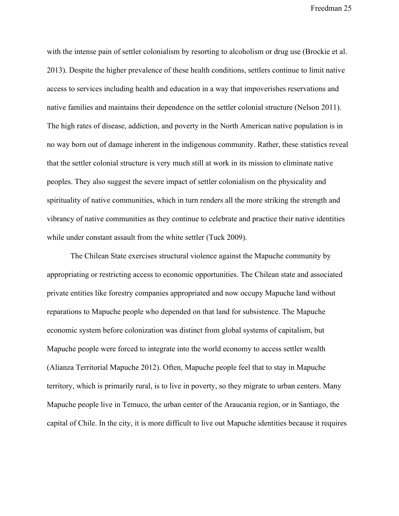with the intense pain of settler colonialism by resorting to alcoholism or drug use (Brockie et al. 2013). Despite the higher prevalence of these health conditions, settlers continue to limit native access to services including health and education in a way that impoverishes reservations and native families and maintains their dependence on the settler colonial structure (Nelson 2011). The high rates of disease, addiction, and poverty in the North American native population is in no way born out of damage inherent in the indigenous community. Rather, these statistics reveal that the settler colonial structure is very much still at work in its mission to eliminate native peoples. They also suggest the severe impact of settler colonialism on the physicality and spirituality of native communities, which in turn renders all the more striking the strength and vibrancy of native communities as they continue to celebrate and practice their native identities while under constant assault from the white settler (Tuck 2009).

The Chilean State exercises structural violence against the Mapuche community by appropriating or restricting access to economic opportunities. The Chilean state and associated private entities like forestry companies appropriated and now occupy Mapuche land without reparations to Mapuche people who depended on that land for subsistence. The Mapuche economic system before colonization was distinct from global systems of capitalism, but Mapuche people were forced to integrate into the world economy to access settler wealth (Alianza Territorial Mapuche 2012). Often, Mapuche people feel that to stay in Mapuche territory, which is primarily rural, is to live in poverty, so they migrate to urban centers. Many Mapuche people live in Temuco, the urban center of the Araucania region, or in Santiago, the capital of Chile. In the city, it is more difficult to live out Mapuche identities because it requires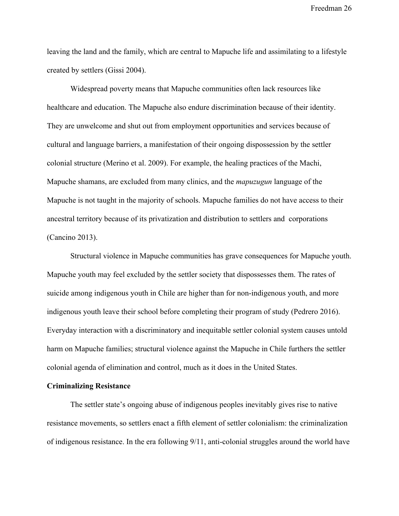leaving the land and the family, which are central to Mapuche life and assimilating to a lifestyle created by settlers (Gissi 2004).

Widespread poverty means that Mapuche communities often lack resources like healthcare and education. The Mapuche also endure discrimination because of their identity. They are unwelcome and shut out from employment opportunities and services because of cultural and language barriers, a manifestation of their ongoing dispossession by the settler colonial structure (Merino et al. 2009). For example, the healing practices of the Machi, Mapuche shamans, are excluded from many clinics, and the *mapuzugun* language of the Mapuche is not taught in the majority of schools. Mapuche families do not have access to their ancestral territory because of its privatization and distribution to settlers and corporations (Cancino 2013).

Structural violence in Mapuche communities has grave consequences for Mapuche youth. Mapuche youth may feel excluded by the settler society that dispossesses them. The rates of suicide among indigenous youth in Chile are higher than for non-indigenous youth, and more indigenous youth leave their school before completing their program of study (Pedrero 2016). Everyday interaction with a discriminatory and inequitable settler colonial system causes untold harm on Mapuche families; structural violence against the Mapuche in Chile furthers the settler colonial agenda of elimination and control, much as it does in the United States.

#### **Criminalizing Resistance**

The settler state's ongoing abuse of indigenous peoples inevitably gives rise to native resistance movements, so settlers enact a fifth element of settler colonialism: the criminalization of indigenous resistance. In the era following 9/11, anti-colonial struggles around the world have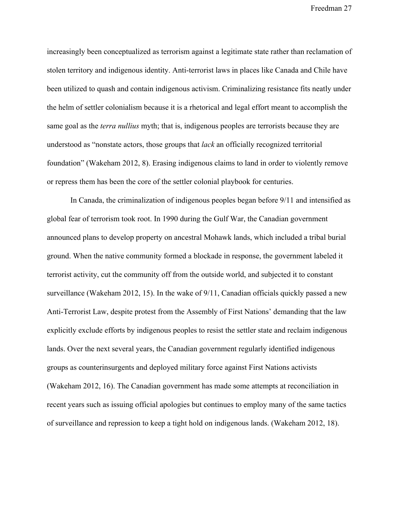increasingly been conceptualized as terrorism against a legitimate state rather than reclamation of stolen territory and indigenous identity. Anti-terrorist laws in places like Canada and Chile have been utilized to quash and contain indigenous activism. Criminalizing resistance fits neatly under the helm of settler colonialism because it is a rhetorical and legal effort meant to accomplish the same goal as the *terra nullius* myth; that is, indigenous peoples are terrorists because they are understood as "nonstate actors, those groups that *lack* an officially recognized territorial foundation" (Wakeham 2012, 8). Erasing indigenous claims to land in order to violently remove or repress them has been the core of the settler colonial playbook for centuries.

In Canada, the criminalization of indigenous peoples began before 9/11 and intensified as global fear of terrorism took root. In 1990 during the Gulf War, the Canadian government announced plans to develop property on ancestral Mohawk lands, which included a tribal burial ground. When the native community formed a blockade in response, the government labeled it terrorist activity, cut the community off from the outside world, and subjected it to constant surveillance (Wakeham 2012, 15). In the wake of  $9/11$ , Canadian officials quickly passed a new Anti-Terrorist Law, despite protest from the Assembly of First Nations' demanding that the law explicitly exclude efforts by indigenous peoples to resist the settler state and reclaim indigenous lands. Over the next several years, the Canadian government regularly identified indigenous groups as counterinsurgents and deployed military force against First Nations activists (Wakeham 2012, 16). The Canadian government has made some attempts at reconciliation in recent years such as issuing official apologies but continues to employ many of the same tactics of surveillance and repression to keep a tight hold on indigenous lands. (Wakeham 2012, 18).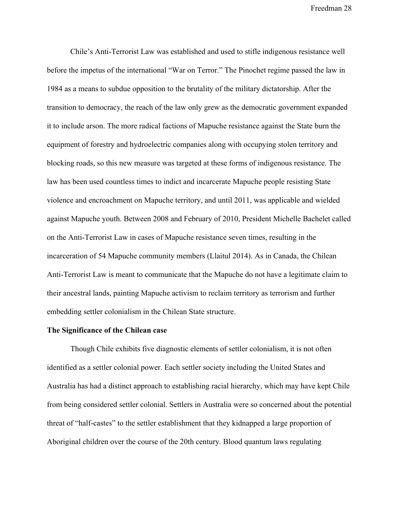Chile's Anti-Terrorist Law was established and used to stifle indigenous resistance well before the impetus of the international "War on Terror." The Pinochet regime passed the law in 1984 as a means to subdue opposition to the brutality of the military dictatorship. After the transition to democracy, the reach of the law only grew as the democratic government expanded it to include arson. The more radical factions of Mapuche resistance against the State burn the equipment of forestry and hydroelectric companies along with occupying stolen territory and blocking roads, so this new measure was targeted at these forms of indigenous resistance. The law has been used countless times to indict and incarcerate Mapuche people resisting State violence and encroachment on Mapuche territory, and until 2011, was applicable and wielded against Mapuche youth. Between 2008 and February of 2010, President Michelle Bachelet called on the Anti-Terrorist Law in cases of Mapuche resistance seven times, resulting in the incarceration of 54 Mapuche community members (Llaitul 2014). As in Canada, the Chilean Anti-Terrorist Law is meant to communicate that the Mapuche do not have a legitimate claim to their ancestral lands, painting Mapuche activism to reclaim territory as terrorism and further embedding settler colonialism in the Chilean State structure.

#### **The Significance of the Chilean case**

Though Chile exhibits five diagnostic elements of settler colonialism, it is not often identified as a settler colonial power. Each settler society including the United States and Australia has had a distinct approach to establishing racial hierarchy, which may have kept Chile from being considered settler colonial. Settlers in Australia were so concerned about the potential threat of "half-castes" to the settler establishment that they kidnapped a large proportion of Aboriginal children over the course of the 20th century. Blood quantum laws regulating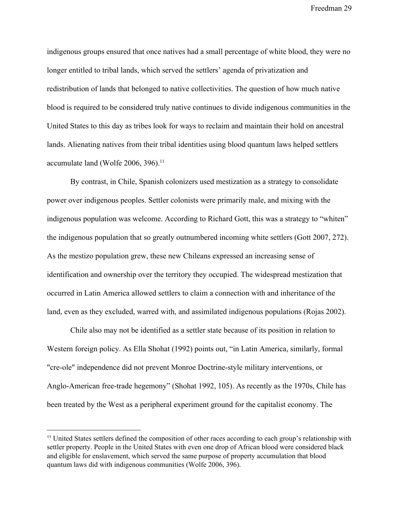indigenous groups ensured that once natives had a small percentage of white blood, they were no longer entitled to tribal lands, which served the settlers' agenda of privatization and redistribution of lands that belonged to native collectivities. The question of how much native blood is required to be considered truly native continues to divide indigenous communities in the United States to this day as tribes look for ways to reclaim and maintain their hold on ancestral lands. Alienating natives from their tribal identities using blood quantum laws helped settlers accumulate land (Wolfe  $2006$ ,  $396$ ).<sup>11</sup>

By contrast, in Chile, Spanish colonizers used mestization as a strategy to consolidate power over indigenous peoples. Settler colonists were primarily male, and mixing with the indigenous population was welcome. According to Richard Gott, this was a strategy to "whiten" the indigenous population that so greatly outnumbered incoming white settlers (Gott 2007, 272). As the mestizo population grew, these new Chileans expressed an increasing sense of identification and ownership over the territory they occupied. The widespread mestization that occurred in Latin America allowed settlers to claim a connection with and inheritance of the land, even as they excluded, warred with, and assimilated indigenous populations (Rojas 2002).

Chile also may not be identified as a settler state because of its position in relation to Western foreign policy. As Ella Shohat (1992) points out, "in Latin America, similarly, formal "cre-ole" independence did not prevent Monroe Doctrine-style military interventions, or Anglo-American free-trade hegemony" (Shohat 1992, 105). As recently as the 1970s, Chile has been treated by the West as a peripheral experiment ground for the capitalist economy. The

<sup>11</sup> United States settlers defined the composition of other races according to each group's relationship with settler property. People in the United States with even one drop of African blood were considered black and eligible for enslavement, which served the same purpose of property accumulation that blood quantum laws did with indigenous communities (Wolfe 2006, 396).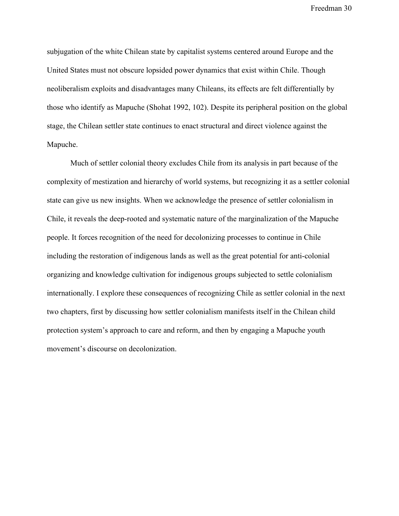subjugation of the white Chilean state by capitalist systems centered around Europe and the United States must not obscure lopsided power dynamics that exist within Chile. Though neoliberalism exploits and disadvantages many Chileans, its effects are felt differentially by those who identify as Mapuche (Shohat 1992, 102). Despite its peripheral position on the global stage, the Chilean settler state continues to enact structural and direct violence against the Mapuche.

Much of settler colonial theory excludes Chile from its analysis in part because of the complexity of mestization and hierarchy of world systems, but recognizing it as a settler colonial state can give us new insights. When we acknowledge the presence of settler colonialism in Chile, it reveals the deep-rooted and systematic nature of the marginalization of the Mapuche people. It forces recognition of the need for decolonizing processes to continue in Chile including the restoration of indigenous lands as well as the great potential for anti-colonial organizing and knowledge cultivation for indigenous groups subjected to settle colonialism internationally. I explore these consequences of recognizing Chile as settler colonial in the next two chapters, first by discussing how settler colonialism manifests itself in the Chilean child protection system's approach to care and reform, and then by engaging a Mapuche youth movement's discourse on decolonization.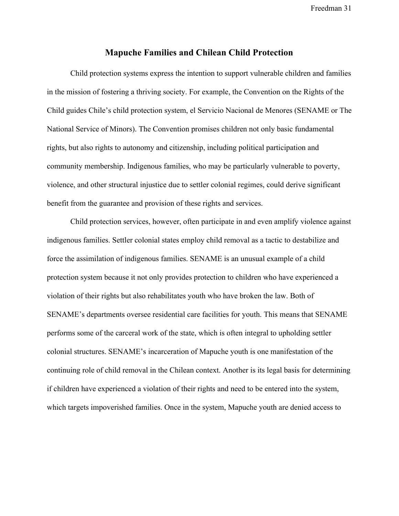#### **Mapuche Families and Chilean Child Protection**

Child protection systems express the intention to support vulnerable children and families in the mission of fostering a thriving society. For example, the Convention on the Rights of the Child guides Chile's child protection system, el Servicio Nacional de Menores (SENAME or The National Service of Minors). The Convention promises children not only basic fundamental rights, but also rights to autonomy and citizenship, including political participation and community membership. Indigenous families, who may be particularly vulnerable to poverty, violence, and other structural injustice due to settler colonial regimes, could derive significant benefit from the guarantee and provision of these rights and services.

Child protection services, however, often participate in and even amplify violence against indigenous families. Settler colonial states employ child removal as a tactic to destabilize and force the assimilation of indigenous families. SENAME is an unusual example of a child protection system because it not only provides protection to children who have experienced a violation of their rights but also rehabilitates youth who have broken the law. Both of SENAME's departments oversee residential care facilities for youth. This means that SENAME performs some of the carceral work of the state, which is often integral to upholding settler colonial structures. SENAME's incarceration of Mapuche youth is one manifestation of the continuing role of child removal in the Chilean context. Another is its legal basis for determining if children have experienced a violation of their rights and need to be entered into the system, which targets impoverished families. Once in the system, Mapuche youth are denied access to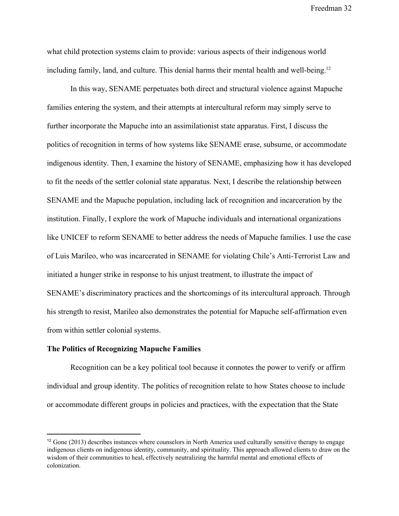what child protection systems claim to provide: various aspects of their indigenous world including family, land, and culture. This denial harms their mental health and well-being.<sup>12</sup>

In this way, SENAME perpetuates both direct and structural violence against Mapuche families entering the system, and their attempts at intercultural reform may simply serve to further incorporate the Mapuche into an assimilationist state apparatus. First, I discuss the politics of recognition in terms of how systems like SENAME erase, subsume, or accommodate indigenous identity. Then, I examine the history of SENAME, emphasizing how it has developed to fit the needs of the settler colonial state apparatus. Next, I describe the relationship between SENAME and the Mapuche population, including lack of recognition and incarceration by the institution. Finally, I explore the work of Mapuche individuals and international organizations like UNICEF to reform SENAME to better address the needs of Mapuche families. I use the case of Luis Marileo, who was incarcerated in SENAME for violating Chile's Anti-Terrorist Law and initiated a hunger strike in response to his unjust treatment, to illustrate the impact of SENAME's discriminatory practices and the shortcomings of its intercultural approach. Through his strength to resist, Marileo also demonstrates the potential for Mapuche self-affirmation even from within settler colonial systems.

#### **The Politics of Recognizing Mapuche Families**

Recognition can be a key political tool because it connotes the power to verify or affirm individual and group identity. The politics of recognition relate to how States choose to include or accommodate different groups in policies and practices, with the expectation that the State

 $12$  Gone (2013) describes instances where counselors in North America used culturally sensitive therapy to engage indigenous clients on indigenous identity, community, and spirituality. This approach allowed clients to draw on the wisdom of their communities to heal, effectively neutralizing the harmful mental and emotional effects of colonization.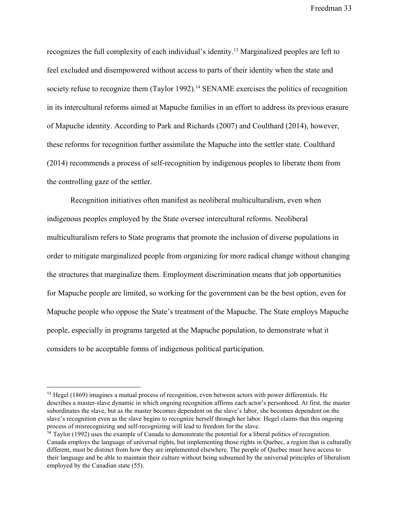recognizes the full complexity of each individual's identity.<sup>13</sup> Marginalized peoples are left to feel excluded and disempowered without access to parts of their identity when the state and society refuse to recognize them (Taylor 1992).<sup>14</sup> SENAME exercises the politics of recognition in its intercultural reforms aimed at Mapuche families in an effort to address its previous erasure of Mapuche identity. According to Park and Richards (2007) and Coulthard (2014), however, these reforms for recognition further assimilate the Mapuche into the settler state. Coulthard (2014) recommends a process of self-recognition by indigenous peoples to liberate them from the controlling gaze of the settler.

Recognition initiatives often manifest as neoliberal multiculturalism, even when indigenous peoples employed by the State oversee intercultural reforms. Neoliberal multiculturalism refers to State programs that promote the inclusion of diverse populations in order to mitigate marginalized people from organizing for more radical change without changing the structures that marginalize them. Employment discrimination means that job opportunities for Mapuche people are limited, so working for the government can be the best option, even for Mapuche people who oppose the State's treatment of the Mapuche. The State employs Mapuche people, especially in programs targeted at the Mapuche population, to demonstrate what it considers to be acceptable forms of indigenous political participation.

<sup>&</sup>lt;sup>13</sup> Hegel (1869) imagines a mutual process of recognition, even between actors with power differentials. He describes a master-slave dynamic in which ongoing recognition affirms each actor's personhood. At first, the master subordinates the slave, but as the master becomes dependent on the slave's labor, she becomes dependent on the slave's recognition even as the slave begins to recognize herself through her labor. Hegel claims that this ongoing process of misrecognizing and self-recognizing will lead to freedom for the slave.

<sup>&</sup>lt;sup>14</sup> Taylor (1992) uses the example of Canada to demonstrate the potential for a liberal politics of recognition. Canada employs the language of universal rights, but implementing those rights in Quebec, a region that is culturally different, must be distinct from how they are implemented elsewhere. The people of Quebec must have access to their language and be able to maintain their culture without being subsumed by the universal principles of liberalism employed by the Canadian state (55).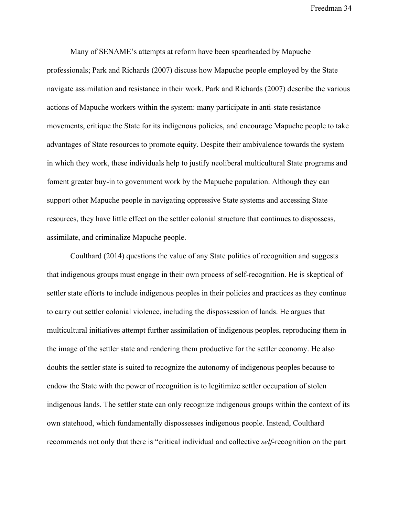Many of SENAME's attempts at reform have been spearheaded by Mapuche professionals; Park and Richards (2007) discuss how Mapuche people employed by the State navigate assimilation and resistance in their work. Park and Richards (2007) describe the various actions of Mapuche workers within the system: many participate in anti-state resistance movements, critique the State for its indigenous policies, and encourage Mapuche people to take advantages of State resources to promote equity. Despite their ambivalence towards the system in which they work, these individuals help to justify neoliberal multicultural State programs and foment greater buy-in to government work by the Mapuche population. Although they can support other Mapuche people in navigating oppressive State systems and accessing State resources, they have little effect on the settler colonial structure that continues to dispossess, assimilate, and criminalize Mapuche people.

Coulthard (2014) questions the value of any State politics of recognition and suggests that indigenous groups must engage in their own process of self-recognition. He is skeptical of settler state efforts to include indigenous peoples in their policies and practices as they continue to carry out settler colonial violence, including the dispossession of lands. He argues that multicultural initiatives attempt further assimilation of indigenous peoples, reproducing them in the image of the settler state and rendering them productive for the settler economy. He also doubts the settler state is suited to recognize the autonomy of indigenous peoples because to endow the State with the power of recognition is to legitimize settler occupation of stolen indigenous lands. The settler state can only recognize indigenous groups within the context of its own statehood, which fundamentally dispossesses indigenous people. Instead, Coulthard recommends not only that there is "critical individual and collective *self-*recognition on the part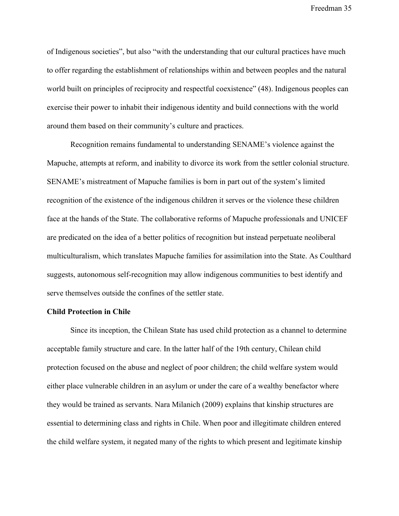of Indigenous societies", but also "with the understanding that our cultural practices have much to offer regarding the establishment of relationships within and between peoples and the natural world built on principles of reciprocity and respectful coexistence" (48). Indigenous peoples can exercise their power to inhabit their indigenous identity and build connections with the world around them based on their community's culture and practices.

Recognition remains fundamental to understanding SENAME's violence against the Mapuche, attempts at reform, and inability to divorce its work from the settler colonial structure. SENAME's mistreatment of Mapuche families is born in part out of the system's limited recognition of the existence of the indigenous children it serves or the violence these children face at the hands of the State. The collaborative reforms of Mapuche professionals and UNICEF are predicated on the idea of a better politics of recognition but instead perpetuate neoliberal multiculturalism, which translates Mapuche families for assimilation into the State. As Coulthard suggests, autonomous self-recognition may allow indigenous communities to best identify and serve themselves outside the confines of the settler state.

## **Child Protection in Chile**

Since its inception, the Chilean State has used child protection as a channel to determine acceptable family structure and care. In the latter half of the 19th century, Chilean child protection focused on the abuse and neglect of poor children; the child welfare system would either place vulnerable children in an asylum or under the care of a wealthy benefactor where they would be trained as servants. Nara Milanich (2009) explains that kinship structures are essential to determining class and rights in Chile. When poor and illegitimate children entered the child welfare system, it negated many of the rights to which present and legitimate kinship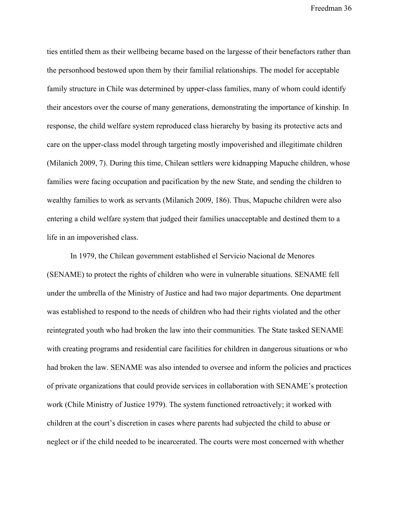ties entitled them as their wellbeing became based on the largesse of their benefactors rather than the personhood bestowed upon them by their familial relationships. The model for acceptable family structure in Chile was determined by upper-class families, many of whom could identify their ancestors over the course of many generations, demonstrating the importance of kinship. In response, the child welfare system reproduced class hierarchy by basing its protective acts and care on the upper-class model through targeting mostly impoverished and illegitimate children (Milanich 2009, 7). During this time, Chilean settlers were kidnapping Mapuche children, whose families were facing occupation and pacification by the new State, and sending the children to wealthy families to work as servants (Milanich 2009, 186). Thus, Mapuche children were also entering a child welfare system that judged their families unacceptable and destined them to a life in an impoverished class.

In 1979, the Chilean government established el Servicio Nacional de Menores (SENAME) to protect the rights of children who were in vulnerable situations. SENAME fell under the umbrella of the Ministry of Justice and had two major departments. One department was established to respond to the needs of children who had their rights violated and the other reintegrated youth who had broken the law into their communities. The State tasked SENAME with creating programs and residential care facilities for children in dangerous situations or who had broken the law. SENAME was also intended to oversee and inform the policies and practices of private organizations that could provide services in collaboration with SENAME's protection work (Chile Ministry of Justice 1979). The system functioned retroactively; it worked with children at the court's discretion in cases where parents had subjected the child to abuse or neglect or if the child needed to be incarcerated. The courts were most concerned with whether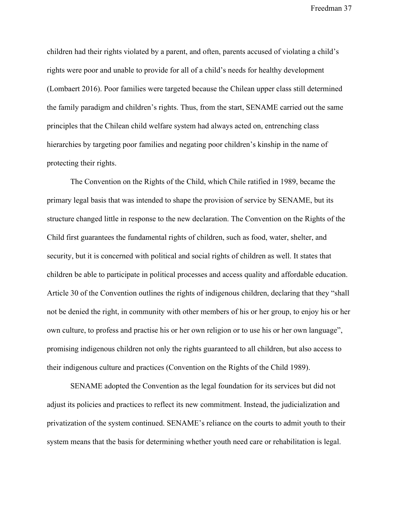children had their rights violated by a parent, and often, parents accused of violating a child's rights were poor and unable to provide for all of a child's needs for healthy development (Lombaert 2016). Poor families were targeted because the Chilean upper class still determined the family paradigm and children's rights. Thus, from the start, SENAME carried out the same principles that the Chilean child welfare system had always acted on, entrenching class hierarchies by targeting poor families and negating poor children's kinship in the name of protecting their rights.

The Convention on the Rights of the Child, which Chile ratified in 1989, became the primary legal basis that was intended to shape the provision of service by SENAME, but its structure changed little in response to the new declaration. The Convention on the Rights of the Child first guarantees the fundamental rights of children, such as food, water, shelter, and security, but it is concerned with political and social rights of children as well. It states that children be able to participate in political processes and access quality and affordable education. Article 30 of the Convention outlines the rights of indigenous children, declaring that they "shall not be denied the right, in community with other members of his or her group, to enjoy his or her own culture, to profess and practise his or her own religion or to use his or her own language", promising indigenous children not only the rights guaranteed to all children, but also access to their indigenous culture and practices (Convention on the Rights of the Child 1989).

SENAME adopted the Convention as the legal foundation for its services but did not adjust its policies and practices to reflect its new commitment. Instead, the judicialization and privatization of the system continued. SENAME's reliance on the courts to admit youth to their system means that the basis for determining whether youth need care or rehabilitation is legal.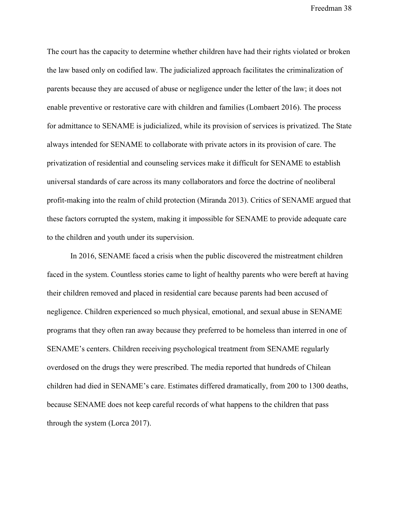The court has the capacity to determine whether children have had their rights violated or broken the law based only on codified law. The judicialized approach facilitates the criminalization of parents because they are accused of abuse or negligence under the letter of the law; it does not enable preventive or restorative care with children and families (Lombaert 2016). The process for admittance to SENAME is judicialized, while its provision of services is privatized. The State always intended for SENAME to collaborate with private actors in its provision of care. The privatization of residential and counseling services make it difficult for SENAME to establish universal standards of care across its many collaborators and force the doctrine of neoliberal profit-making into the realm of child protection (Miranda 2013). Critics of SENAME argued that these factors corrupted the system, making it impossible for SENAME to provide adequate care to the children and youth under its supervision.

In 2016, SENAME faced a crisis when the public discovered the mistreatment children faced in the system. Countless stories came to light of healthy parents who were bereft at having their children removed and placed in residential care because parents had been accused of negligence. Children experienced so much physical, emotional, and sexual abuse in SENAME programs that they often ran away because they preferred to be homeless than interred in one of SENAME's centers. Children receiving psychological treatment from SENAME regularly overdosed on the drugs they were prescribed. The media reported that hundreds of Chilean children had died in SENAME's care. Estimates differed dramatically, from 200 to 1300 deaths, because SENAME does not keep careful records of what happens to the children that pass through the system (Lorca 2017).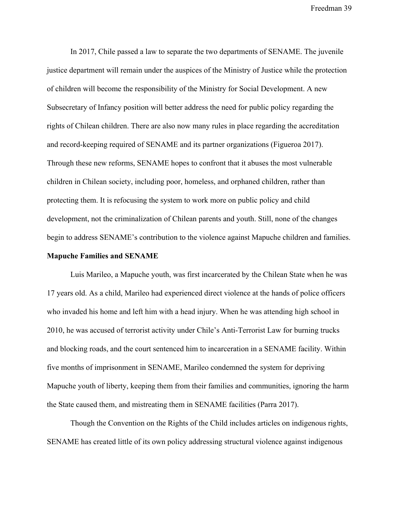In 2017, Chile passed a law to separate the two departments of SENAME. The juvenile justice department will remain under the auspices of the Ministry of Justice while the protection of children will become the responsibility of the Ministry for Social Development. A new Subsecretary of Infancy position will better address the need for public policy regarding the rights of Chilean children. There are also now many rules in place regarding the accreditation and record-keeping required of SENAME and its partner organizations (Figueroa 2017). Through these new reforms, SENAME hopes to confront that it abuses the most vulnerable children in Chilean society, including poor, homeless, and orphaned children, rather than protecting them. It is refocusing the system to work more on public policy and child development, not the criminalization of Chilean parents and youth. Still, none of the changes begin to address SENAME's contribution to the violence against Mapuche children and families.

# **Mapuche Families and SENAME**

Luis Marileo, a Mapuche youth, was first incarcerated by the Chilean State when he was 17 years old. As a child, Marileo had experienced direct violence at the hands of police officers who invaded his home and left him with a head injury. When he was attending high school in 2010, he was accused of terrorist activity under Chile's Anti-Terrorist Law for burning trucks and blocking roads, and the court sentenced him to incarceration in a SENAME facility. Within five months of imprisonment in SENAME, Marileo condemned the system for depriving Mapuche youth of liberty, keeping them from their families and communities, ignoring the harm the State caused them, and mistreating them in SENAME facilities (Parra 2017).

Though the Convention on the Rights of the Child includes articles on indigenous rights, SENAME has created little of its own policy addressing structural violence against indigenous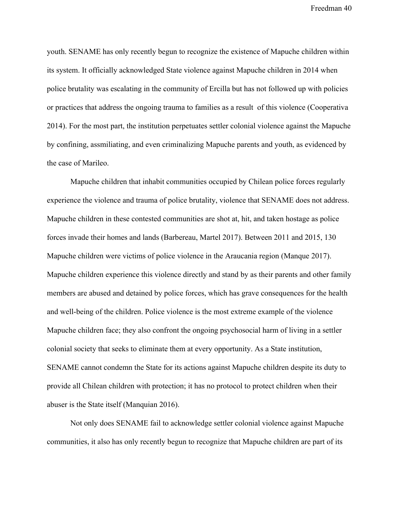youth. SENAME has only recently begun to recognize the existence of Mapuche children within its system. It officially acknowledged State violence against Mapuche children in 2014 when police brutality was escalating in the community of Ercilla but has not followed up with policies or practices that address the ongoing trauma to families as a result of this violence (Cooperativa 2014). For the most part, the institution perpetuates settler colonial violence against the Mapuche by confining, assmiliating, and even criminalizing Mapuche parents and youth, as evidenced by the case of Marileo.

Mapuche children that inhabit communities occupied by Chilean police forces regularly experience the violence and trauma of police brutality, violence that SENAME does not address. Mapuche children in these contested communities are shot at, hit, and taken hostage as police forces invade their homes and lands (Barbereau, Martel 2017). Between 2011 and 2015, 130 Mapuche children were victims of police violence in the Araucania region (Manque 2017). Mapuche children experience this violence directly and stand by as their parents and other family members are abused and detained by police forces, which has grave consequences for the health and well-being of the children. Police violence is the most extreme example of the violence Mapuche children face; they also confront the ongoing psychosocial harm of living in a settler colonial society that seeks to eliminate them at every opportunity. As a State institution, SENAME cannot condemn the State for its actions against Mapuche children despite its duty to provide all Chilean children with protection; it has no protocol to protect children when their abuser is the State itself (Manquian 2016).

Not only does SENAME fail to acknowledge settler colonial violence against Mapuche communities, it also has only recently begun to recognize that Mapuche children are part of its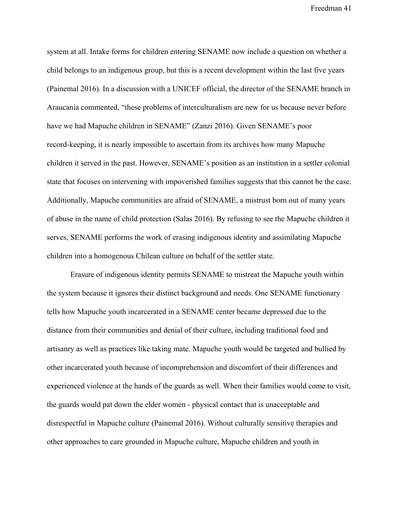system at all. Intake forms for children entering SENAME now include a question on whether a child belongs to an indigenous group, but this is a recent development within the last five years (Painemal 2016). In a discussion with a UNICEF official, the director of the SENAME branch in Araucania commented, "these problems of interculturalism are new for us because never before have we had Mapuche children in SENAME" (Zanzi 2016). Given SENAME's poor record-keeping, it is nearly impossible to ascertain from its archives how many Mapuche children it served in the past. However, SENAME's position as an institution in a settler colonial state that focuses on intervening with impoverished families suggests that this cannot be the case. Additionally, Mapuche communities are afraid of SENAME, a mistrust born out of many years of abuse in the name of child protection (Salas 2016). By refusing to see the Mapuche children it serves, SENAME performs the work of erasing indigenous identity and assimilating Mapuche children into a homogenous Chilean culture on behalf of the settler state.

Erasure of indigenous identity permits SENAME to mistreat the Mapuche youth within the system because it ignores their distinct background and needs. One SENAME functionary tells how Mapuche youth incarcerated in a SENAME center became depressed due to the distance from their communities and denial of their culture, including traditional food and artisanry as well as practices like taking mate. Mapuche youth would be targeted and bullied by other incarcerated youth because of incomprehension and discomfort of their differences and experienced violence at the hands of the guards as well. When their families would come to visit, the guards would pat down the elder women - physical contact that is unacceptable and disrespectful in Mapuche culture (Painemal 2016). Without culturally sensitive therapies and other approaches to care grounded in Mapuche culture, Mapuche children and youth in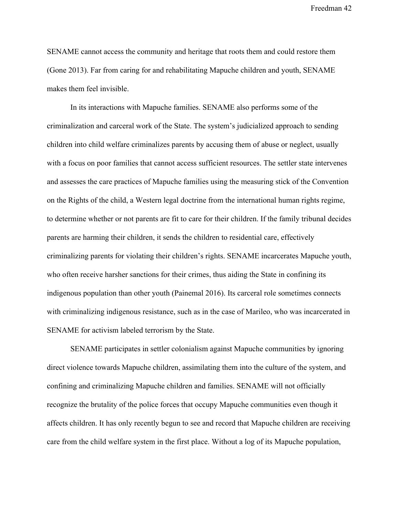SENAME cannot access the community and heritage that roots them and could restore them (Gone 2013). Far from caring for and rehabilitating Mapuche children and youth, SENAME makes them feel invisible.

In its interactions with Mapuche families. SENAME also performs some of the criminalization and carceral work of the State. The system's judicialized approach to sending children into child welfare criminalizes parents by accusing them of abuse or neglect, usually with a focus on poor families that cannot access sufficient resources. The settler state intervenes and assesses the care practices of Mapuche families using the measuring stick of the Convention on the Rights of the child, a Western legal doctrine from the international human rights regime, to determine whether or not parents are fit to care for their children. If the family tribunal decides parents are harming their children, it sends the children to residential care, effectively criminalizing parents for violating their children's rights. SENAME incarcerates Mapuche youth, who often receive harsher sanctions for their crimes, thus aiding the State in confining its indigenous population than other youth (Painemal 2016). Its carceral role sometimes connects with criminalizing indigenous resistance, such as in the case of Marileo, who was incarcerated in SENAME for activism labeled terrorism by the State.

SENAME participates in settler colonialism against Mapuche communities by ignoring direct violence towards Mapuche children, assimilating them into the culture of the system, and confining and criminalizing Mapuche children and families. SENAME will not officially recognize the brutality of the police forces that occupy Mapuche communities even though it affects children. It has only recently begun to see and record that Mapuche children are receiving care from the child welfare system in the first place. Without a log of its Mapuche population,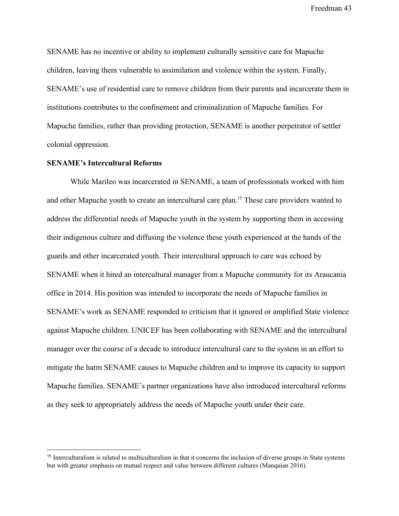SENAME has no incentive or ability to implement culturally sensitive care for Mapuche children, leaving them vulnerable to assimilation and violence within the system. Finally, SENAME's use of residential care to remove children from their parents and incarcerate them in institutions contributes to the confinement and criminalization of Mapuche families. For Mapuche families, rather than providing protection, SENAME is another perpetrator of settler colonial oppression.

### **SENAME's Intercultural Reforms**

While Marileo was incarcerated in SENAME, a team of professionals worked with him and other Mapuche youth to create an intercultural care plan.<sup>15</sup> These care providers wanted to address the differential needs of Mapuche youth in the system by supporting them in accessing their indigenous culture and diffusing the violence these youth experienced at the hands of the guards and other incarcerated youth. Their intercultural approach to care was echoed by SENAME when it hired an intercultural manager from a Mapuche community for its Araucania office in 2014. His position was intended to incorporate the needs of Mapuche families in SENAME's work as SENAME responded to criticism that it ignored or amplified State violence against Mapuche children. UNICEF has been collaborating with SENAME and the intercultural manager over the course of a decade to introduce intercultural care to the system in an effort to mitigate the harm SENAME causes to Mapuche children and to improve its capacity to support Mapuche families. SENAME's partner organizations have also introduced intercultural reforms as they seek to appropriately address the needs of Mapuche youth under their care.

<sup>&</sup>lt;sup>15</sup> Interculturalism is related to multiculturalism in that it concerns the inclusion of diverse groups in State systems but with greater emphasis on mutual respect and value between different cultures (Manquian 2016).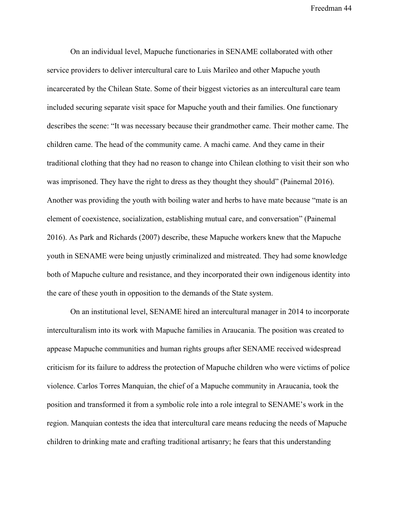On an individual level, Mapuche functionaries in SENAME collaborated with other service providers to deliver intercultural care to Luis Marileo and other Mapuche youth incarcerated by the Chilean State. Some of their biggest victories as an intercultural care team included securing separate visit space for Mapuche youth and their families. One functionary describes the scene: "It was necessary because their grandmother came. Their mother came. The children came. The head of the community came. A machi came. And they came in their traditional clothing that they had no reason to change into Chilean clothing to visit their son who was imprisoned. They have the right to dress as they thought they should" (Painemal 2016). Another was providing the youth with boiling water and herbs to have mate because "mate is an element of coexistence, socialization, establishing mutual care, and conversation" (Painemal 2016). As Park and Richards (2007) describe, these Mapuche workers knew that the Mapuche youth in SENAME were being unjustly criminalized and mistreated. They had some knowledge both of Mapuche culture and resistance, and they incorporated their own indigenous identity into the care of these youth in opposition to the demands of the State system.

On an institutional level, SENAME hired an intercultural manager in 2014 to incorporate interculturalism into its work with Mapuche families in Araucania. The position was created to appease Mapuche communities and human rights groups after SENAME received widespread criticism for its failure to address the protection of Mapuche children who were victims of police violence. Carlos Torres Manquian, the chief of a Mapuche community in Araucania, took the position and transformed it from a symbolic role into a role integral to SENAME's work in the region. Manquian contests the idea that intercultural care means reducing the needs of Mapuche children to drinking mate and crafting traditional artisanry; he fears that this understanding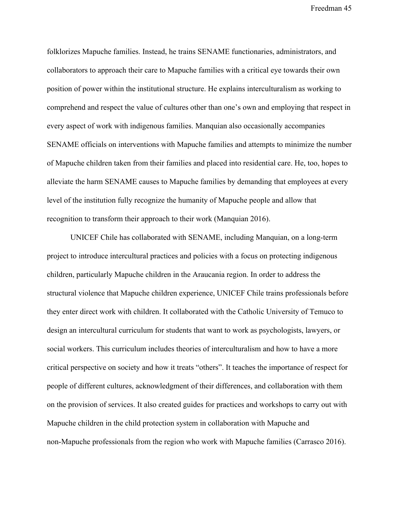folklorizes Mapuche families. Instead, he trains SENAME functionaries, administrators, and collaborators to approach their care to Mapuche families with a critical eye towards their own position of power within the institutional structure. He explains interculturalism as working to comprehend and respect the value of cultures other than one's own and employing that respect in every aspect of work with indigenous families. Manquian also occasionally accompanies SENAME officials on interventions with Mapuche families and attempts to minimize the number of Mapuche children taken from their families and placed into residential care. He, too, hopes to alleviate the harm SENAME causes to Mapuche families by demanding that employees at every level of the institution fully recognize the humanity of Mapuche people and allow that recognition to transform their approach to their work (Manquian 2016).

UNICEF Chile has collaborated with SENAME, including Manquian, on a long-term project to introduce intercultural practices and policies with a focus on protecting indigenous children, particularly Mapuche children in the Araucania region. In order to address the structural violence that Mapuche children experience, UNICEF Chile trains professionals before they enter direct work with children. It collaborated with the Catholic University of Temuco to design an intercultural curriculum for students that want to work as psychologists, lawyers, or social workers. This curriculum includes theories of interculturalism and how to have a more critical perspective on society and how it treats "others". It teaches the importance of respect for people of different cultures, acknowledgment of their differences, and collaboration with them on the provision of services. It also created guides for practices and workshops to carry out with Mapuche children in the child protection system in collaboration with Mapuche and non-Mapuche professionals from the region who work with Mapuche families (Carrasco 2016).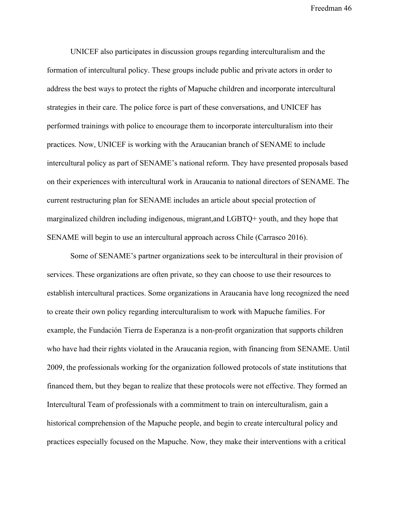UNICEF also participates in discussion groups regarding interculturalism and the formation of intercultural policy. These groups include public and private actors in order to address the best ways to protect the rights of Mapuche children and incorporate intercultural strategies in their care. The police force is part of these conversations, and UNICEF has performed trainings with police to encourage them to incorporate interculturalism into their practices. Now, UNICEF is working with the Araucanian branch of SENAME to include intercultural policy as part of SENAME's national reform. They have presented proposals based on their experiences with intercultural work in Araucania to national directors of SENAME. The current restructuring plan for SENAME includes an article about special protection of marginalized children including indigenous, migrant,and LGBTQ+ youth, and they hope that SENAME will begin to use an intercultural approach across Chile (Carrasco 2016).

Some of SENAME's partner organizations seek to be intercultural in their provision of services. These organizations are often private, so they can choose to use their resources to establish intercultural practices. Some organizations in Araucania have long recognized the need to create their own policy regarding interculturalism to work with Mapuche families. For example, the Fundación Tierra de Esperanza is a non-profit organization that supports children who have had their rights violated in the Araucania region, with financing from SENAME. Until 2009, the professionals working for the organization followed protocols of state institutions that financed them, but they began to realize that these protocols were not effective. They formed an Intercultural Team of professionals with a commitment to train on interculturalism, gain a historical comprehension of the Mapuche people, and begin to create intercultural policy and practices especially focused on the Mapuche. Now, they make their interventions with a critical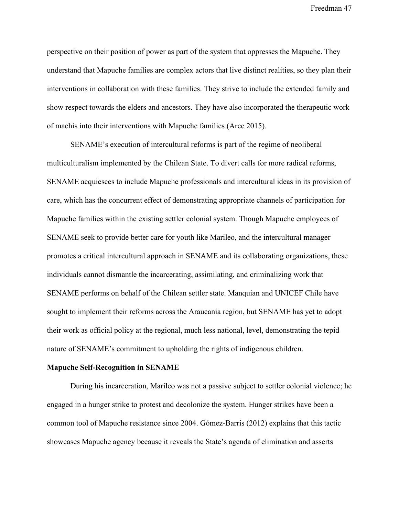perspective on their position of power as part of the system that oppresses the Mapuche. They understand that Mapuche families are complex actors that live distinct realities, so they plan their interventions in collaboration with these families. They strive to include the extended family and show respect towards the elders and ancestors. They have also incorporated the therapeutic work of machis into their interventions with Mapuche families (Arce 2015).

SENAME's execution of intercultural reforms is part of the regime of neoliberal multiculturalism implemented by the Chilean State. To divert calls for more radical reforms, SENAME acquiesces to include Mapuche professionals and intercultural ideas in its provision of care, which has the concurrent effect of demonstrating appropriate channels of participation for Mapuche families within the existing settler colonial system. Though Mapuche employees of SENAME seek to provide better care for youth like Marileo, and the intercultural manager promotes a critical intercultural approach in SENAME and its collaborating organizations, these individuals cannot dismantle the incarcerating, assimilating, and criminalizing work that SENAME performs on behalf of the Chilean settler state. Manquian and UNICEF Chile have sought to implement their reforms across the Araucania region, but SENAME has yet to adopt their work as official policy at the regional, much less national, level, demonstrating the tepid nature of SENAME's commitment to upholding the rights of indigenous children.

### **Mapuche Self-Recognition in SENAME**

During his incarceration, Marileo was not a passive subject to settler colonial violence; he engaged in a hunger strike to protest and decolonize the system. Hunger strikes have been a common tool of Mapuche resistance since 2004. Gómez-Barris (2012) explains that this tactic showcases Mapuche agency because it reveals the State's agenda of elimination and asserts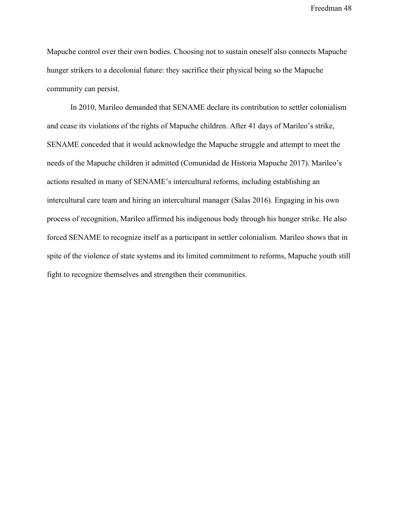Mapuche control over their own bodies. Choosing not to sustain oneself also connects Mapuche hunger strikers to a decolonial future: they sacrifice their physical being so the Mapuche community can persist.

In 2010, Marileo demanded that SENAME declare its contribution to settler colonialism and cease its violations of the rights of Mapuche children. After 41 days of Marileo's strike, SENAME conceded that it would acknowledge the Mapuche struggle and attempt to meet the needs of the Mapuche children it admitted (Comunidad de Historia Mapuche 2017). Marileo's actions resulted in many of SENAME's intercultural reforms, including establishing an intercultural care team and hiring an intercultural manager (Salas 2016). Engaging in his own process of recognition, Marileo affirmed his indigenous body through his hunger strike. He also forced SENAME to recognize itself as a participant in settler colonialism. Marileo shows that in spite of the violence of state systems and its limited commitment to reforms, Mapuche youth still fight to recognize themselves and strengthen their communities.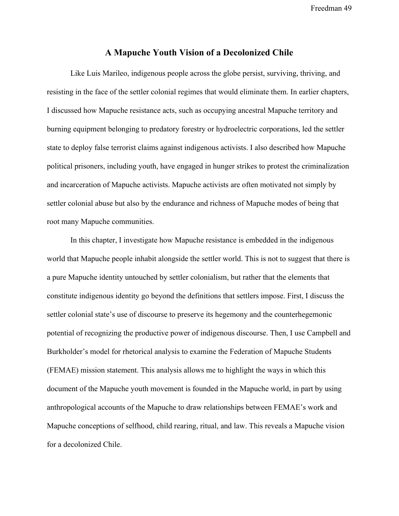## **A Mapuche Youth Vision of a Decolonized Chile**

Like Luis Marileo, indigenous people across the globe persist, surviving, thriving, and resisting in the face of the settler colonial regimes that would eliminate them. In earlier chapters, I discussed how Mapuche resistance acts, such as occupying ancestral Mapuche territory and burning equipment belonging to predatory forestry or hydroelectric corporations, led the settler state to deploy false terrorist claims against indigenous activists. I also described how Mapuche political prisoners, including youth, have engaged in hunger strikes to protest the criminalization and incarceration of Mapuche activists. Mapuche activists are often motivated not simply by settler colonial abuse but also by the endurance and richness of Mapuche modes of being that root many Mapuche communities.

In this chapter, I investigate how Mapuche resistance is embedded in the indigenous world that Mapuche people inhabit alongside the settler world. This is not to suggest that there is a pure Mapuche identity untouched by settler colonialism, but rather that the elements that constitute indigenous identity go beyond the definitions that settlers impose. First, I discuss the settler colonial state's use of discourse to preserve its hegemony and the counterhegemonic potential of recognizing the productive power of indigenous discourse. Then, I use Campbell and Burkholder's model for rhetorical analysis to examine the Federation of Mapuche Students (FEMAE) mission statement. This analysis allows me to highlight the ways in which this document of the Mapuche youth movement is founded in the Mapuche world, in part by using anthropological accounts of the Mapuche to draw relationships between FEMAE's work and Mapuche conceptions of selfhood, child rearing, ritual, and law. This reveals a Mapuche vision for a decolonized Chile.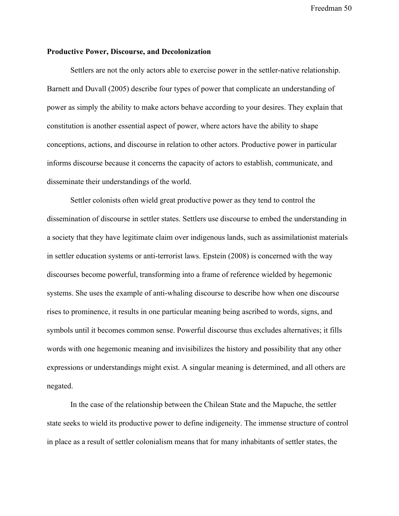## **Productive Power, Discourse, and Decolonization**

Settlers are not the only actors able to exercise power in the settler-native relationship. Barnett and Duvall (2005) describe four types of power that complicate an understanding of power as simply the ability to make actors behave according to your desires. They explain that constitution is another essential aspect of power, where actors have the ability to shape conceptions, actions, and discourse in relation to other actors. Productive power in particular informs discourse because it concerns the capacity of actors to establish, communicate, and disseminate their understandings of the world.

Settler colonists often wield great productive power as they tend to control the dissemination of discourse in settler states. Settlers use discourse to embed the understanding in a society that they have legitimate claim over indigenous lands, such as assimilationist materials in settler education systems or anti-terrorist laws. Epstein (2008) is concerned with the way discourses become powerful, transforming into a frame of reference wielded by hegemonic systems. She uses the example of anti-whaling discourse to describe how when one discourse rises to prominence, it results in one particular meaning being ascribed to words, signs, and symbols until it becomes common sense. Powerful discourse thus excludes alternatives; it fills words with one hegemonic meaning and invisibilizes the history and possibility that any other expressions or understandings might exist. A singular meaning is determined, and all others are negated.

In the case of the relationship between the Chilean State and the Mapuche, the settler state seeks to wield its productive power to define indigeneity. The immense structure of control in place as a result of settler colonialism means that for many inhabitants of settler states, the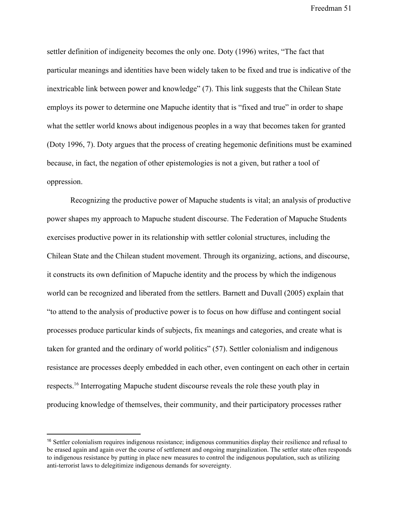settler definition of indigeneity becomes the only one. Doty (1996) writes, "The fact that particular meanings and identities have been widely taken to be fixed and true is indicative of the inextricable link between power and knowledge" (7). This link suggests that the Chilean State employs its power to determine one Mapuche identity that is "fixed and true" in order to shape what the settler world knows about indigenous peoples in a way that becomes taken for granted (Doty 1996, 7). Doty argues that the process of creating hegemonic definitions must be examined because, in fact, the negation of other epistemologies is not a given, but rather a tool of oppression.

Recognizing the productive power of Mapuche students is vital; an analysis of productive power shapes my approach to Mapuche student discourse. The Federation of Mapuche Students exercises productive power in its relationship with settler colonial structures, including the Chilean State and the Chilean student movement. Through its organizing, actions, and discourse, it constructs its own definition of Mapuche identity and the process by which the indigenous world can be recognized and liberated from the settlers. Barnett and Duvall (2005) explain that "to attend to the analysis of productive power is to focus on how diffuse and contingent social processes produce particular kinds of subjects, fix meanings and categories, and create what is taken for granted and the ordinary of world politics" (57). Settler colonialism and indigenous resistance are processes deeply embedded in each other, even contingent on each other in certain respects.<sup>16</sup> Interrogating Mapuche student discourse reveals the role these youth play in producing knowledge of themselves, their community, and their participatory processes rather

<sup>&</sup>lt;sup>16</sup> Settler colonialism requires indigenous resistance; indigenous communities display their resilience and refusal to be erased again and again over the course of settlement and ongoing marginalization. The settler state often responds to indigenous resistance by putting in place new measures to control the indigenous population, such as utilizing anti-terrorist laws to delegitimize indigenous demands for sovereignty.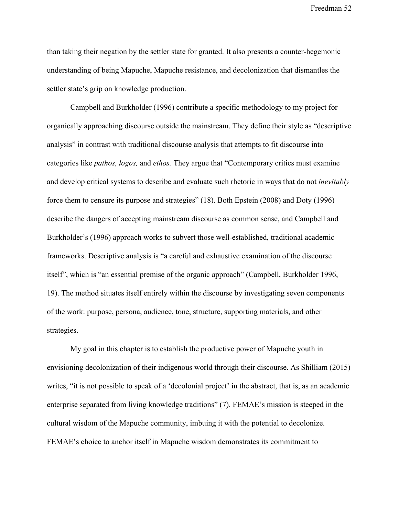than taking their negation by the settler state for granted. It also presents a counter-hegemonic understanding of being Mapuche, Mapuche resistance, and decolonization that dismantles the settler state's grip on knowledge production.

Campbell and Burkholder (1996) contribute a specific methodology to my project for organically approaching discourse outside the mainstream. They define their style as "descriptive analysis" in contrast with traditional discourse analysis that attempts to fit discourse into categories like *pathos, logos,* and *ethos.* They argue that "Contemporary critics must examine and develop critical systems to describe and evaluate such rhetoric in ways that do not *inevitably* force them to censure its purpose and strategies" (18). Both Epstein (2008) and Doty (1996) describe the dangers of accepting mainstream discourse as common sense, and Campbell and Burkholder's (1996) approach works to subvert those well-established, traditional academic frameworks. Descriptive analysis is "a careful and exhaustive examination of the discourse itself", which is "an essential premise of the organic approach" (Campbell, Burkholder 1996, 19). The method situates itself entirely within the discourse by investigating seven components of the work: purpose, persona, audience, tone, structure, supporting materials, and other strategies.

My goal in this chapter is to establish the productive power of Mapuche youth in envisioning decolonization of their indigenous world through their discourse. As Shilliam (2015) writes, "it is not possible to speak of a 'decolonial project' in the abstract, that is, as an academic enterprise separated from living knowledge traditions" (7). FEMAE's mission is steeped in the cultural wisdom of the Mapuche community, imbuing it with the potential to decolonize. FEMAE's choice to anchor itself in Mapuche wisdom demonstrates its commitment to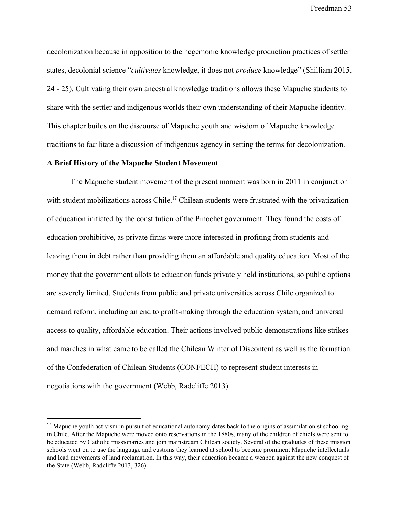decolonization because in opposition to the hegemonic knowledge production practices of settler states, decolonial science "*cultivates* knowledge, it does not *produce* knowledge" (Shilliam 2015, 24 - 25). Cultivating their own ancestral knowledge traditions allows these Mapuche students to share with the settler and indigenous worlds their own understanding of their Mapuche identity. This chapter builds on the discourse of Mapuche youth and wisdom of Mapuche knowledge traditions to facilitate a discussion of indigenous agency in setting the terms for decolonization.

## **A Brief History of the Mapuche Student Movement**

The Mapuche student movement of the present moment was born in 2011 in conjunction with student mobilizations across Chile.<sup>17</sup> Chilean students were frustrated with the privatization of education initiated by the constitution of the Pinochet government. They found the costs of education prohibitive, as private firms were more interested in profiting from students and leaving them in debt rather than providing them an affordable and quality education. Most of the money that the government allots to education funds privately held institutions, so public options are severely limited. Students from public and private universities across Chile organized to demand reform, including an end to profit-making through the education system, and universal access to quality, affordable education. Their actions involved public demonstrations like strikes and marches in what came to be called the Chilean Winter of Discontent as well as the formation of the Confederation of Chilean Students (CONFECH) to represent student interests in negotiations with the government (Webb, Radcliffe 2013).

<sup>&</sup>lt;sup>17</sup> Mapuche youth activism in pursuit of educational autonomy dates back to the origins of assimilationist schooling in Chile. After the Mapuche were moved onto reservations in the 1880s, many of the children of chiefs were sent to be educated by Catholic missionaries and join mainstream Chilean society. Several of the graduates of these mission schools went on to use the language and customs they learned at school to become prominent Mapuche intellectuals and lead movements of land reclamation. In this way, their education became a weapon against the new conquest of the State (Webb, Radcliffe 2013, 326).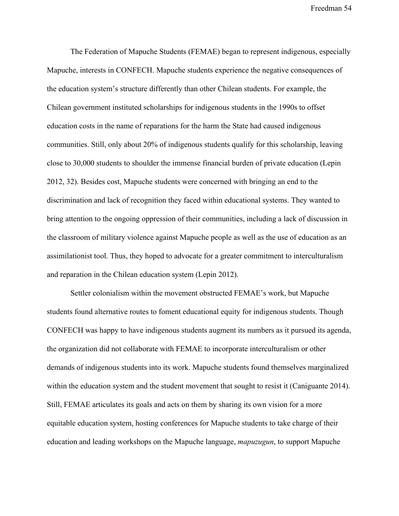The Federation of Mapuche Students (FEMAE) began to represent indigenous, especially Mapuche, interests in CONFECH. Mapuche students experience the negative consequences of the education system's structure differently than other Chilean students. For example, the Chilean government instituted scholarships for indigenous students in the 1990s to offset education costs in the name of reparations for the harm the State had caused indigenous communities. Still, only about 20% of indigenous students qualify for this scholarship, leaving close to 30,000 students to shoulder the immense financial burden of private education (Lepin 2012, 32). Besides cost, Mapuche students were concerned with bringing an end to the discrimination and lack of recognition they faced within educational systems. They wanted to bring attention to the ongoing oppression of their communities, including a lack of discussion in the classroom of military violence against Mapuche people as well as the use of education as an assimilationist tool. Thus, they hoped to advocate for a greater commitment to interculturalism and reparation in the Chilean education system (Lepin 2012).

Settler colonialism within the movement obstructed FEMAE's work, but Mapuche students found alternative routes to foment educational equity for indigenous students. Though CONFECH was happy to have indigenous students augment its numbers as it pursued its agenda, the organization did not collaborate with FEMAE to incorporate interculturalism or other demands of indigenous students into its work. Mapuche students found themselves marginalized within the education system and the student movement that sought to resist it (Caniguante 2014). Still, FEMAE articulates its goals and acts on them by sharing its own vision for a more equitable education system, hosting conferences for Mapuche students to take charge of their education and leading workshops on the Mapuche language, *mapuzugun*, to support Mapuche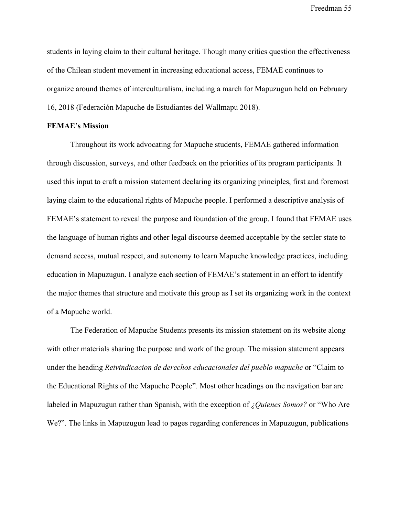students in laying claim to their cultural heritage. Though many critics question the effectiveness of the Chilean student movement in increasing educational access, FEMAE continues to organize around themes of interculturalism, including a march for Mapuzugun held on February 16, 2018 (Federación Mapuche de Estudiantes del Wallmapu 2018).

### **FEMAE's Mission**

Throughout its work advocating for Mapuche students, FEMAE gathered information through discussion, surveys, and other feedback on the priorities of its program participants. It used this input to craft a mission statement declaring its organizing principles, first and foremost laying claim to the educational rights of Mapuche people. I performed a descriptive analysis of FEMAE's statement to reveal the purpose and foundation of the group. I found that FEMAE uses the language of human rights and other legal discourse deemed acceptable by the settler state to demand access, mutual respect, and autonomy to learn Mapuche knowledge practices, including education in Mapuzugun. I analyze each section of FEMAE's statement in an effort to identify the major themes that structure and motivate this group as I set its organizing work in the context of a Mapuche world.

The Federation of Mapuche Students presents its mission statement on its website along with other materials sharing the purpose and work of the group. The mission statement appears under the heading *Reivindicacion de derechos educacionales del pueblo mapuche* or "Claim to the Educational Rights of the Mapuche People". Most other headings on the navigation bar are labeled in Mapuzugun rather than Spanish, with the exception of *¿Quienes Somos?* or "Who Are We?". The links in Mapuzugun lead to pages regarding conferences in Mapuzugun, publications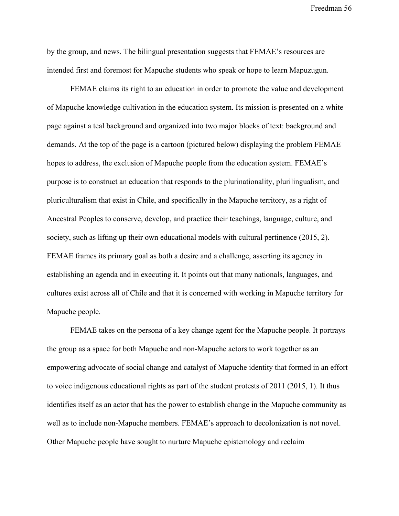by the group, and news. The bilingual presentation suggests that FEMAE's resources are intended first and foremost for Mapuche students who speak or hope to learn Mapuzugun.

FEMAE claims its right to an education in order to promote the value and development of Mapuche knowledge cultivation in the education system. Its mission is presented on a white page against a teal background and organized into two major blocks of text: background and demands. At the top of the page is a cartoon (pictured below) displaying the problem FEMAE hopes to address, the exclusion of Mapuche people from the education system. FEMAE's purpose is to construct an education that responds to the plurinationality, plurilingualism, and pluriculturalism that exist in Chile, and specifically in the Mapuche territory, as a right of Ancestral Peoples to conserve, develop, and practice their teachings, language, culture, and society, such as lifting up their own educational models with cultural pertinence (2015, 2). FEMAE frames its primary goal as both a desire and a challenge, asserting its agency in establishing an agenda and in executing it. It points out that many nationals, languages, and cultures exist across all of Chile and that it is concerned with working in Mapuche territory for Mapuche people.

FEMAE takes on the persona of a key change agent for the Mapuche people. It portrays the group as a space for both Mapuche and non-Mapuche actors to work together as an empowering advocate of social change and catalyst of Mapuche identity that formed in an effort to voice indigenous educational rights as part of the student protests of 2011 (2015, 1). It thus identifies itself as an actor that has the power to establish change in the Mapuche community as well as to include non-Mapuche members. FEMAE's approach to decolonization is not novel. Other Mapuche people have sought to nurture Mapuche epistemology and reclaim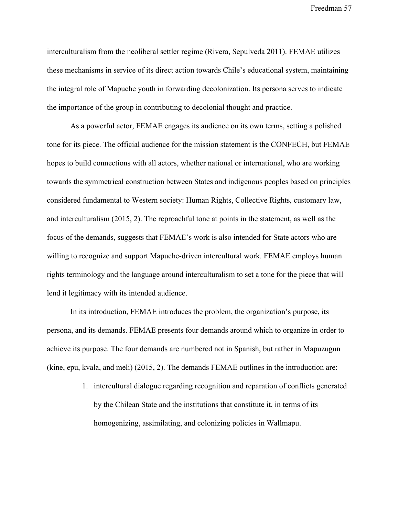interculturalism from the neoliberal settler regime (Rivera, Sepulveda 2011). FEMAE utilizes these mechanisms in service of its direct action towards Chile's educational system, maintaining the integral role of Mapuche youth in forwarding decolonization. Its persona serves to indicate the importance of the group in contributing to decolonial thought and practice.

As a powerful actor, FEMAE engages its audience on its own terms, setting a polished tone for its piece. The official audience for the mission statement is the CONFECH, but FEMAE hopes to build connections with all actors, whether national or international, who are working towards the symmetrical construction between States and indigenous peoples based on principles considered fundamental to Western society: Human Rights, Collective Rights, customary law, and interculturalism (2015, 2). The reproachful tone at points in the statement, as well as the focus of the demands, suggests that FEMAE's work is also intended for State actors who are willing to recognize and support Mapuche-driven intercultural work. FEMAE employs human rights terminology and the language around interculturalism to set a tone for the piece that will lend it legitimacy with its intended audience.

In its introduction, FEMAE introduces the problem, the organization's purpose, its persona, and its demands. FEMAE presents four demands around which to organize in order to achieve its purpose. The four demands are numbered not in Spanish, but rather in Mapuzugun (kine, epu, kvala, and meli) (2015, 2). The demands FEMAE outlines in the introduction are:

> 1. intercultural dialogue regarding recognition and reparation of conflicts generated by the Chilean State and the institutions that constitute it, in terms of its homogenizing, assimilating, and colonizing policies in Wallmapu.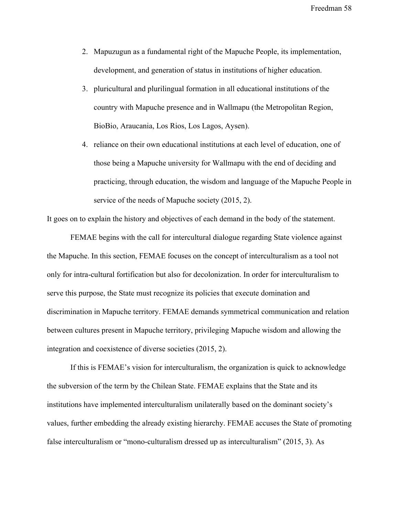- 2. Mapuzugun as a fundamental right of the Mapuche People, its implementation, development, and generation of status in institutions of higher education.
- 3. pluricultural and plurilingual formation in all educational institutions of the country with Mapuche presence and in Wallmapu (the Metropolitan Region, BioBio, Araucania, Los Rios, Los Lagos, Aysen).
- 4. reliance on their own educational institutions at each level of education, one of those being a Mapuche university for Wallmapu with the end of deciding and practicing, through education, the wisdom and language of the Mapuche People in service of the needs of Mapuche society (2015, 2).

It goes on to explain the history and objectives of each demand in the body of the statement.

FEMAE begins with the call for intercultural dialogue regarding State violence against the Mapuche. In this section, FEMAE focuses on the concept of interculturalism as a tool not only for intra-cultural fortification but also for decolonization. In order for interculturalism to serve this purpose, the State must recognize its policies that execute domination and discrimination in Mapuche territory. FEMAE demands symmetrical communication and relation between cultures present in Mapuche territory, privileging Mapuche wisdom and allowing the integration and coexistence of diverse societies (2015, 2).

If this is FEMAE's vision for interculturalism, the organization is quick to acknowledge the subversion of the term by the Chilean State. FEMAE explains that the State and its institutions have implemented interculturalism unilaterally based on the dominant society's values, further embedding the already existing hierarchy. FEMAE accuses the State of promoting false interculturalism or "mono-culturalism dressed up as interculturalism" (2015, 3). As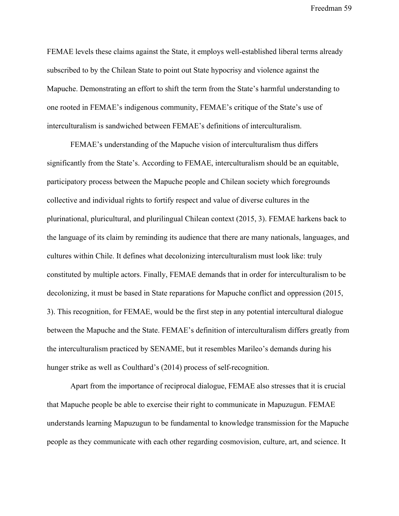FEMAE levels these claims against the State, it employs well-established liberal terms already subscribed to by the Chilean State to point out State hypocrisy and violence against the Mapuche. Demonstrating an effort to shift the term from the State's harmful understanding to one rooted in FEMAE's indigenous community, FEMAE's critique of the State's use of interculturalism is sandwiched between FEMAE's definitions of interculturalism.

FEMAE's understanding of the Mapuche vision of interculturalism thus differs significantly from the State's. According to FEMAE, interculturalism should be an equitable, participatory process between the Mapuche people and Chilean society which foregrounds collective and individual rights to fortify respect and value of diverse cultures in the plurinational, pluricultural, and plurilingual Chilean context (2015, 3). FEMAE harkens back to the language of its claim by reminding its audience that there are many nationals, languages, and cultures within Chile. It defines what decolonizing interculturalism must look like: truly constituted by multiple actors. Finally, FEMAE demands that in order for interculturalism to be decolonizing, it must be based in State reparations for Mapuche conflict and oppression (2015, 3). This recognition, for FEMAE, would be the first step in any potential intercultural dialogue between the Mapuche and the State. FEMAE's definition of interculturalism differs greatly from the interculturalism practiced by SENAME, but it resembles Marileo's demands during his hunger strike as well as Coulthard's (2014) process of self-recognition.

Apart from the importance of reciprocal dialogue, FEMAE also stresses that it is crucial that Mapuche people be able to exercise their right to communicate in Mapuzugun. FEMAE understands learning Mapuzugun to be fundamental to knowledge transmission for the Mapuche people as they communicate with each other regarding cosmovision, culture, art, and science. It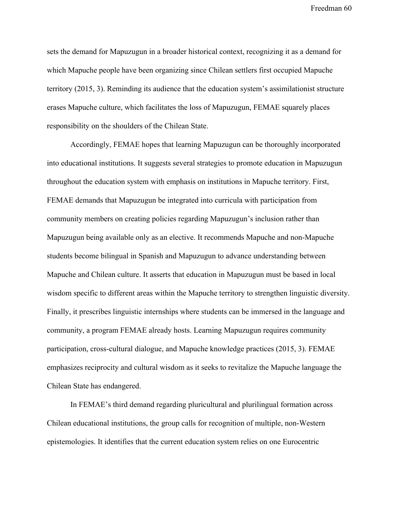sets the demand for Mapuzugun in a broader historical context, recognizing it as a demand for which Mapuche people have been organizing since Chilean settlers first occupied Mapuche territory (2015, 3). Reminding its audience that the education system's assimilationist structure erases Mapuche culture, which facilitates the loss of Mapuzugun, FEMAE squarely places responsibility on the shoulders of the Chilean State.

Accordingly, FEMAE hopes that learning Mapuzugun can be thoroughly incorporated into educational institutions. It suggests several strategies to promote education in Mapuzugun throughout the education system with emphasis on institutions in Mapuche territory. First, FEMAE demands that Mapuzugun be integrated into curricula with participation from community members on creating policies regarding Mapuzugun's inclusion rather than Mapuzugun being available only as an elective. It recommends Mapuche and non-Mapuche students become bilingual in Spanish and Mapuzugun to advance understanding between Mapuche and Chilean culture. It asserts that education in Mapuzugun must be based in local wisdom specific to different areas within the Mapuche territory to strengthen linguistic diversity. Finally, it prescribes linguistic internships where students can be immersed in the language and community, a program FEMAE already hosts. Learning Mapuzugun requires community participation, cross-cultural dialogue, and Mapuche knowledge practices (2015, 3). FEMAE emphasizes reciprocity and cultural wisdom as it seeks to revitalize the Mapuche language the Chilean State has endangered.

In FEMAE's third demand regarding pluricultural and plurilingual formation across Chilean educational institutions, the group calls for recognition of multiple, non-Western epistemologies. It identifies that the current education system relies on one Eurocentric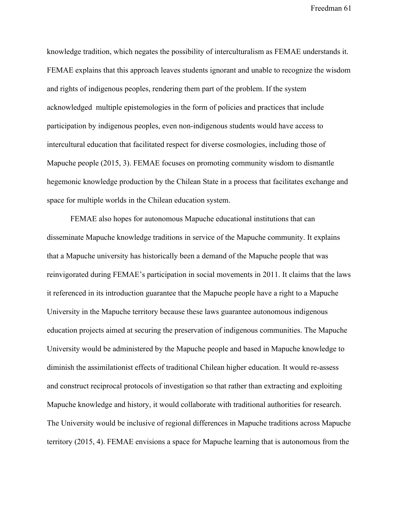knowledge tradition, which negates the possibility of interculturalism as FEMAE understands it. FEMAE explains that this approach leaves students ignorant and unable to recognize the wisdom and rights of indigenous peoples, rendering them part of the problem. If the system acknowledged multiple epistemologies in the form of policies and practices that include participation by indigenous peoples, even non-indigenous students would have access to intercultural education that facilitated respect for diverse cosmologies, including those of Mapuche people (2015, 3). FEMAE focuses on promoting community wisdom to dismantle hegemonic knowledge production by the Chilean State in a process that facilitates exchange and space for multiple worlds in the Chilean education system.

FEMAE also hopes for autonomous Mapuche educational institutions that can disseminate Mapuche knowledge traditions in service of the Mapuche community. It explains that a Mapuche university has historically been a demand of the Mapuche people that was reinvigorated during FEMAE's participation in social movements in 2011. It claims that the laws it referenced in its introduction guarantee that the Mapuche people have a right to a Mapuche University in the Mapuche territory because these laws guarantee autonomous indigenous education projects aimed at securing the preservation of indigenous communities. The Mapuche University would be administered by the Mapuche people and based in Mapuche knowledge to diminish the assimilationist effects of traditional Chilean higher education. It would re-assess and construct reciprocal protocols of investigation so that rather than extracting and exploiting Mapuche knowledge and history, it would collaborate with traditional authorities for research. The University would be inclusive of regional differences in Mapuche traditions across Mapuche territory (2015, 4). FEMAE envisions a space for Mapuche learning that is autonomous from the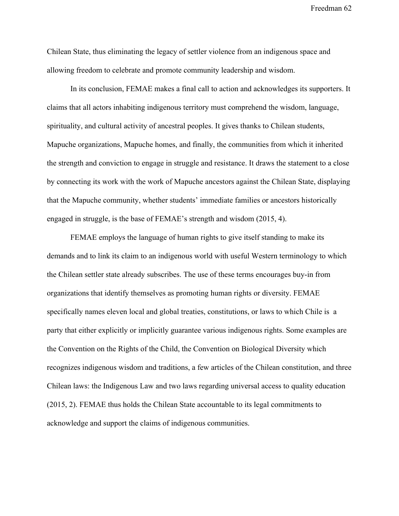Chilean State, thus eliminating the legacy of settler violence from an indigenous space and allowing freedom to celebrate and promote community leadership and wisdom.

In its conclusion, FEMAE makes a final call to action and acknowledges its supporters. It claims that all actors inhabiting indigenous territory must comprehend the wisdom, language, spirituality, and cultural activity of ancestral peoples. It gives thanks to Chilean students, Mapuche organizations, Mapuche homes, and finally, the communities from which it inherited the strength and conviction to engage in struggle and resistance. It draws the statement to a close by connecting its work with the work of Mapuche ancestors against the Chilean State, displaying that the Mapuche community, whether students' immediate families or ancestors historically engaged in struggle, is the base of FEMAE's strength and wisdom (2015, 4).

FEMAE employs the language of human rights to give itself standing to make its demands and to link its claim to an indigenous world with useful Western terminology to which the Chilean settler state already subscribes. The use of these terms encourages buy-in from organizations that identify themselves as promoting human rights or diversity. FEMAE specifically names eleven local and global treaties, constitutions, or laws to which Chile is a party that either explicitly or implicitly guarantee various indigenous rights. Some examples are the Convention on the Rights of the Child, the Convention on Biological Diversity which recognizes indigenous wisdom and traditions, a few articles of the Chilean constitution, and three Chilean laws: the Indigenous Law and two laws regarding universal access to quality education (2015, 2). FEMAE thus holds the Chilean State accountable to its legal commitments to acknowledge and support the claims of indigenous communities.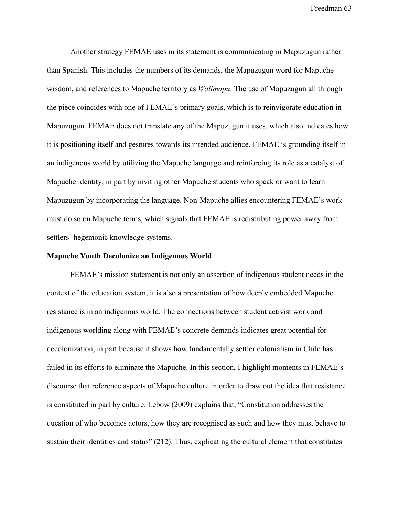Another strategy FEMAE uses in its statement is communicating in Mapuzugun rather than Spanish. This includes the numbers of its demands, the Mapuzugun word for Mapuche wisdom, and references to Mapuche territory as *Wallmapu*. The use of Mapuzugun all through the piece coincides with one of FEMAE's primary goals, which is to reinvigorate education in Mapuzugun. FEMAE does not translate any of the Mapuzugun it uses, which also indicates how it is positioning itself and gestures towards its intended audience. FEMAE is grounding itself in an indigenous world by utilizing the Mapuche language and reinforcing its role as a catalyst of Mapuche identity, in part by inviting other Mapuche students who speak or want to learn Mapuzugun by incorporating the language. Non-Mapuche allies encountering FEMAE's work must do so on Mapuche terms, which signals that FEMAE is redistributing power away from settlers' hegemonic knowledge systems.

### **Mapuche Youth Decolonize an Indigenous World**

FEMAE's mission statement is not only an assertion of indigenous student needs in the context of the education system, it is also a presentation of how deeply embedded Mapuche resistance is in an indigenous world. The connections between student activist work and indigenous worlding along with FEMAE's concrete demands indicates great potential for decolonization, in part because it shows how fundamentally settler colonialism in Chile has failed in its efforts to eliminate the Mapuche. In this section, I highlight moments in FEMAE's discourse that reference aspects of Mapuche culture in order to draw out the idea that resistance is constituted in part by culture. Lebow (2009) explains that, "Constitution addresses the question of who becomes actors, how they are recognised as such and how they must behave to sustain their identities and status" (212). Thus, explicating the cultural element that constitutes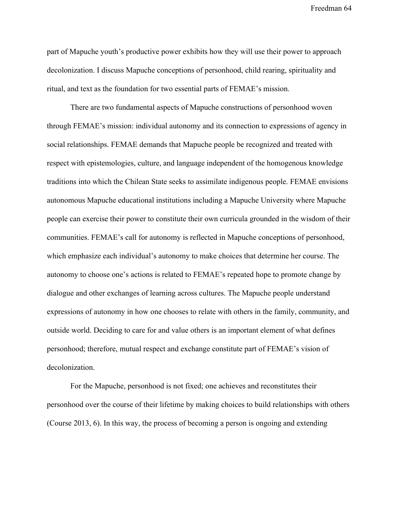part of Mapuche youth's productive power exhibits how they will use their power to approach decolonization. I discuss Mapuche conceptions of personhood, child rearing, spirituality and ritual, and text as the foundation for two essential parts of FEMAE's mission.

There are two fundamental aspects of Mapuche constructions of personhood woven through FEMAE's mission: individual autonomy and its connection to expressions of agency in social relationships. FEMAE demands that Mapuche people be recognized and treated with respect with epistemologies, culture, and language independent of the homogenous knowledge traditions into which the Chilean State seeks to assimilate indigenous people. FEMAE envisions autonomous Mapuche educational institutions including a Mapuche University where Mapuche people can exercise their power to constitute their own curricula grounded in the wisdom of their communities. FEMAE's call for autonomy is reflected in Mapuche conceptions of personhood, which emphasize each individual's autonomy to make choices that determine her course. The autonomy to choose one's actions is related to FEMAE's repeated hope to promote change by dialogue and other exchanges of learning across cultures. The Mapuche people understand expressions of autonomy in how one chooses to relate with others in the family, community, and outside world. Deciding to care for and value others is an important element of what defines personhood; therefore, mutual respect and exchange constitute part of FEMAE's vision of decolonization.

For the Mapuche, personhood is not fixed; one achieves and reconstitutes their personhood over the course of their lifetime by making choices to build relationships with others (Course 2013, 6). In this way, the process of becoming a person is ongoing and extending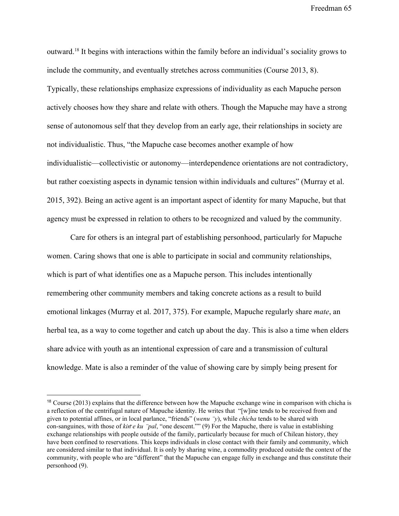outward.<sup>18</sup> It begins with interactions within the family before an individual's sociality grows to include the community, and eventually stretches across communities (Course 2013, 8). Typically, these relationships emphasize expressions of individuality as each Mapuche person actively chooses how they share and relate with others. Though the Mapuche may have a strong sense of autonomous self that they develop from an early age, their relationships in society are not individualistic. Thus, "the Mapuche case becomes another example of how individualistic—collectivistic or autonomy—interdependence orientations are not contradictory, but rather coexisting aspects in dynamic tension within individuals and cultures" (Murray et al. 2015, 392). Being an active agent is an important aspect of identity for many Mapuche, but that agency must be expressed in relation to others to be recognized and valued by the community.

Care for others is an integral part of establishing personhood, particularly for Mapuche women. Caring shows that one is able to participate in social and community relationships, which is part of what identifies one as a Mapuche person. This includes intentionally remembering other community members and taking concrete actions as a result to build emotional linkages (Murray et al. 2017, 375). For example, Mapuche regularly share *mate*, an herbal tea, as a way to come together and catch up about the day. This is also a time when elders share advice with youth as an intentional expression of care and a transmission of cultural knowledge. Mate is also a reminder of the value of showing care by simply being present for

<sup>&</sup>lt;sup>18</sup> Course (2013) explains that the difference between how the Mapuche exchange wine in comparison with chicha is a reflection of the centrifugal nature of Mapuche identity. He writes that "[w]ine tends to be received from and given to potential affines, or in local parlance, "friends" (*wenu* ̈*y*), while *chicha* tends to be shared with con-sanguines, with those of *kiñ e ku* ̈*pal*, "one descent."" (9) For the Mapuche, there is value in establishing exchange relationships with people outside of the family, particularly because for much of Chilean history, they have been confined to reservations. This keeps individuals in close contact with their family and community, which are considered similar to that individual. It is only by sharing wine, a commodity produced outside the context of the community, with people who are "different" that the Mapuche can engage fully in exchange and thus constitute their personhood (9).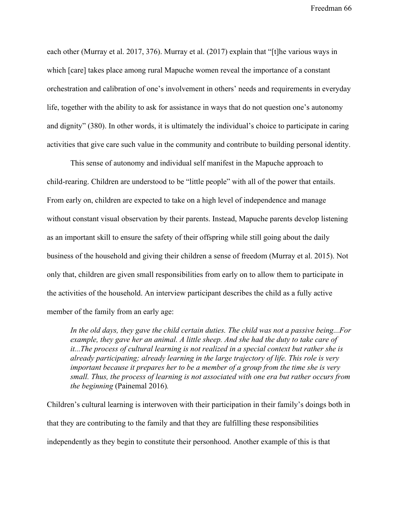each other (Murray et al. 2017, 376). Murray et al. (2017) explain that "[t]he various ways in which [care] takes place among rural Mapuche women reveal the importance of a constant orchestration and calibration of one's involvement in others' needs and requirements in everyday life, together with the ability to ask for assistance in ways that do not question one's autonomy and dignity" (380). In other words, it is ultimately the individual's choice to participate in caring activities that give care such value in the community and contribute to building personal identity.

This sense of autonomy and individual self manifest in the Mapuche approach to child-rearing. Children are understood to be "little people" with all of the power that entails. From early on, children are expected to take on a high level of independence and manage without constant visual observation by their parents. Instead, Mapuche parents develop listening as an important skill to ensure the safety of their offspring while still going about the daily business of the household and giving their children a sense of freedom (Murray et al. 2015). Not only that, children are given small responsibilities from early on to allow them to participate in the activities of the household. An interview participant describes the child as a fully active member of the family from an early age:

*In the old days, they gave the child certain duties. The child was not a passive being...For example, they gave her an animal. A little sheep. And she had the duty to take care of it...The process of cultural learning is not realized in a special context but rather she is already participating; already learning in the large trajectory of life. This role is very important because it prepares her to be a member of a group from the time she is very small. Thus, the process of learning is not associated with one era but rather occurs from the beginning* (Painemal 2016)*.*

Children's cultural learning is interwoven with their participation in their family's doings both in that they are contributing to the family and that they are fulfilling these responsibilities independently as they begin to constitute their personhood. Another example of this is that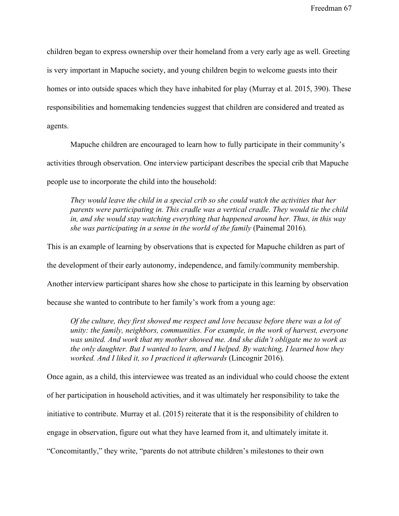children began to express ownership over their homeland from a very early age as well. Greeting is very important in Mapuche society, and young children begin to welcome guests into their homes or into outside spaces which they have inhabited for play (Murray et al. 2015, 390). These responsibilities and homemaking tendencies suggest that children are considered and treated as agents.

Mapuche children are encouraged to learn how to fully participate in their community's activities through observation. One interview participant describes the special crib that Mapuche people use to incorporate the child into the household:

*They would leave the child in a special crib so she could watch the activities that her parents were participating in. This cradle was a vertical cradle. They would tie the child in, and she would stay watching everything that happened around her. Thus, in this way she was participating in a sense in the world of the family* (Painemal 2016)*.*

This is an example of learning by observations that is expected for Mapuche children as part of

the development of their early autonomy, independence, and family/community membership.

Another interview participant shares how she chose to participate in this learning by observation

because she wanted to contribute to her family's work from a young age:

*Of the culture, they first showed me respect and love because before there was a lot of unity: the family, neighbors, communities. For example, in the work of harvest, everyone was united. And work that my mother showed me. And she didn't obligate me to work as the only daughter. But I wanted to learn, and I helped. By watching, I learned how they worked. And I liked it, so I practiced it afterwards* (Lincognir 2016)*.*

Once again, as a child, this interviewee was treated as an individual who could choose the extent of her participation in household activities, and it was ultimately her responsibility to take the initiative to contribute. Murray et al. (2015) reiterate that it is the responsibility of children to engage in observation, figure out what they have learned from it, and ultimately imitate it. "Concomitantly," they write, "parents do not attribute children's milestones to their own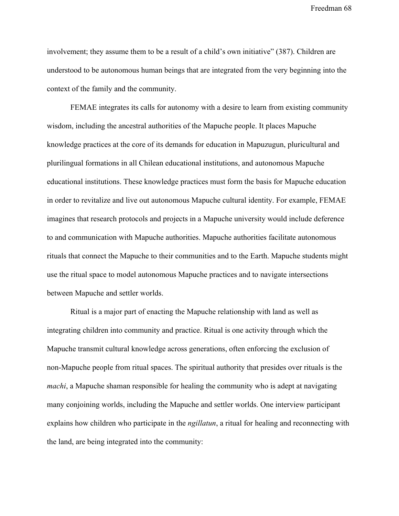involvement; they assume them to be a result of a child's own initiative" (387). Children are understood to be autonomous human beings that are integrated from the very beginning into the context of the family and the community.

FEMAE integrates its calls for autonomy with a desire to learn from existing community wisdom, including the ancestral authorities of the Mapuche people. It places Mapuche knowledge practices at the core of its demands for education in Mapuzugun, pluricultural and plurilingual formations in all Chilean educational institutions, and autonomous Mapuche educational institutions. These knowledge practices must form the basis for Mapuche education in order to revitalize and live out autonomous Mapuche cultural identity. For example, FEMAE imagines that research protocols and projects in a Mapuche university would include deference to and communication with Mapuche authorities. Mapuche authorities facilitate autonomous rituals that connect the Mapuche to their communities and to the Earth. Mapuche students might use the ritual space to model autonomous Mapuche practices and to navigate intersections between Mapuche and settler worlds.

Ritual is a major part of enacting the Mapuche relationship with land as well as integrating children into community and practice. Ritual is one activity through which the Mapuche transmit cultural knowledge across generations, often enforcing the exclusion of non-Mapuche people from ritual spaces. The spiritual authority that presides over rituals is the *machi*, a Mapuche shaman responsible for healing the community who is adept at navigating many conjoining worlds, including the Mapuche and settler worlds. One interview participant explains how children who participate in the *ngillatun*, a ritual for healing and reconnecting with the land, are being integrated into the community: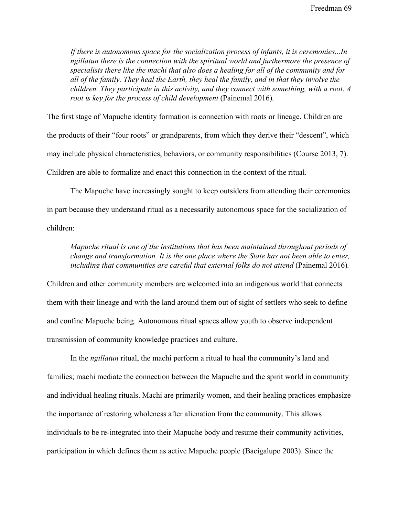*If there is autonomous space for the socialization process of infants, it is ceremonies...In ngillatun there is the connection with the spiritual world and furthermore the presence of specialists there like the machi that also does a healing for all of the community and for all of the family. They heal the Earth, they heal the family, and in that they involve the children. They participate in this activity, and they connect with something, with a root. A root is key for the process of child development* (Painemal 2016).

The first stage of Mapuche identity formation is connection with roots or lineage. Children are the products of their "four roots" or grandparents, from which they derive their "descent", which may include physical characteristics, behaviors, or community responsibilities (Course 2013, 7). Children are able to formalize and enact this connection in the context of the ritual.

The Mapuche have increasingly sought to keep outsiders from attending their ceremonies in part because they understand ritual as a necessarily autonomous space for the socialization of children:

*Mapuche ritual is one of the institutions that has been maintained throughout periods of change and transformation. It is the one place where the State has not been able to enter,* including that communities are careful that external folks do not attend (Painemal 2016).

Children and other community members are welcomed into an indigenous world that connects them with their lineage and with the land around them out of sight of settlers who seek to define and confine Mapuche being. Autonomous ritual spaces allow youth to observe independent transmission of community knowledge practices and culture.

In the *ngillatun* ritual, the machi perform a ritual to heal the community's land and families; machi mediate the connection between the Mapuche and the spirit world in community and individual healing rituals. Machi are primarily women, and their healing practices emphasize the importance of restoring wholeness after alienation from the community. This allows individuals to be re-integrated into their Mapuche body and resume their community activities, participation in which defines them as active Mapuche people (Bacigalupo 2003). Since the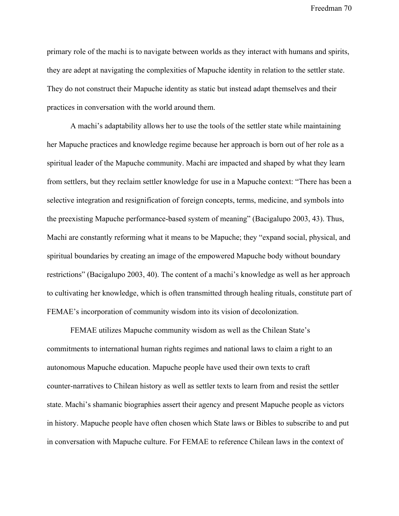primary role of the machi is to navigate between worlds as they interact with humans and spirits, they are adept at navigating the complexities of Mapuche identity in relation to the settler state. They do not construct their Mapuche identity as static but instead adapt themselves and their practices in conversation with the world around them.

A machi's adaptability allows her to use the tools of the settler state while maintaining her Mapuche practices and knowledge regime because her approach is born out of her role as a spiritual leader of the Mapuche community. Machi are impacted and shaped by what they learn from settlers, but they reclaim settler knowledge for use in a Mapuche context: "There has been a selective integration and resignification of foreign concepts, terms, medicine, and symbols into the preexisting Mapuche performance-based system of meaning" (Bacigalupo 2003, 43). Thus, Machi are constantly reforming what it means to be Mapuche; they "expand social, physical, and spiritual boundaries by creating an image of the empowered Mapuche body without boundary restrictions" (Bacigalupo 2003, 40). The content of a machi's knowledge as well as her approach to cultivating her knowledge, which is often transmitted through healing rituals, constitute part of FEMAE's incorporation of community wisdom into its vision of decolonization.

FEMAE utilizes Mapuche community wisdom as well as the Chilean State's commitments to international human rights regimes and national laws to claim a right to an autonomous Mapuche education. Mapuche people have used their own texts to craft counter-narratives to Chilean history as well as settler texts to learn from and resist the settler state. Machi's shamanic biographies assert their agency and present Mapuche people as victors in history. Mapuche people have often chosen which State laws or Bibles to subscribe to and put in conversation with Mapuche culture. For FEMAE to reference Chilean laws in the context of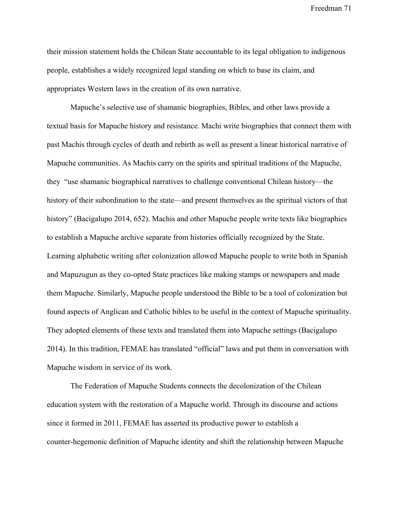their mission statement holds the Chilean State accountable to its legal obligation to indigenous people, establishes a widely recognized legal standing on which to base its claim, and appropriates Western laws in the creation of its own narrative.

Mapuche's selective use of shamanic biographies, Bibles, and other laws provide a textual basis for Mapuche history and resistance. Machi write biographies that connect them with past Machis through cycles of death and rebirth as well as present a linear historical narrative of Mapuche communities. As Machis carry on the spirits and spiritual traditions of the Mapuche, they "use shamanic biographical narratives to challenge conventional Chilean history—the history of their subordination to the state—and present themselves as the spiritual victors of that history" (Bacigalupo 2014, 652). Machis and other Mapuche people write texts like biographies to establish a Mapuche archive separate from histories officially recognized by the State. Learning alphabetic writing after colonization allowed Mapuche people to write both in Spanish and Mapuzugun as they co-opted State practices like making stamps or newspapers and made them Mapuche. Similarly, Mapuche people understood the Bible to be a tool of colonization but found aspects of Anglican and Catholic bibles to be useful in the context of Mapuche spirituality. They adopted elements of these texts and translated them into Mapuche settings (Bacigalupo 2014). In this tradition, FEMAE has translated "official" laws and put them in conversation with Mapuche wisdom in service of its work.

The Federation of Mapuche Students connects the decolonization of the Chilean education system with the restoration of a Mapuche world. Through its discourse and actions since it formed in 2011, FEMAE has asserted its productive power to establish a counter-hegemonic definition of Mapuche identity and shift the relationship between Mapuche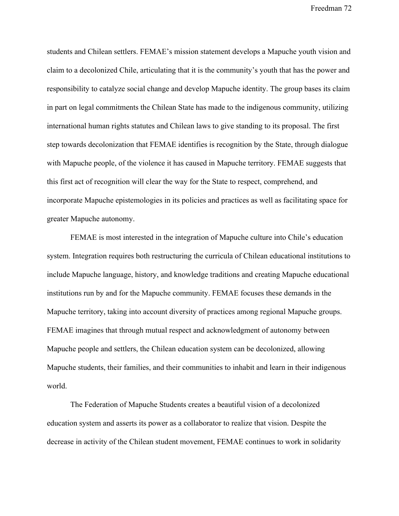students and Chilean settlers. FEMAE's mission statement develops a Mapuche youth vision and claim to a decolonized Chile, articulating that it is the community's youth that has the power and responsibility to catalyze social change and develop Mapuche identity. The group bases its claim in part on legal commitments the Chilean State has made to the indigenous community, utilizing international human rights statutes and Chilean laws to give standing to its proposal. The first step towards decolonization that FEMAE identifies is recognition by the State, through dialogue with Mapuche people, of the violence it has caused in Mapuche territory. FEMAE suggests that this first act of recognition will clear the way for the State to respect, comprehend, and incorporate Mapuche epistemologies in its policies and practices as well as facilitating space for greater Mapuche autonomy.

FEMAE is most interested in the integration of Mapuche culture into Chile's education system. Integration requires both restructuring the curricula of Chilean educational institutions to include Mapuche language, history, and knowledge traditions and creating Mapuche educational institutions run by and for the Mapuche community. FEMAE focuses these demands in the Mapuche territory, taking into account diversity of practices among regional Mapuche groups. FEMAE imagines that through mutual respect and acknowledgment of autonomy between Mapuche people and settlers, the Chilean education system can be decolonized, allowing Mapuche students, their families, and their communities to inhabit and learn in their indigenous world.

The Federation of Mapuche Students creates a beautiful vision of a decolonized education system and asserts its power as a collaborator to realize that vision. Despite the decrease in activity of the Chilean student movement, FEMAE continues to work in solidarity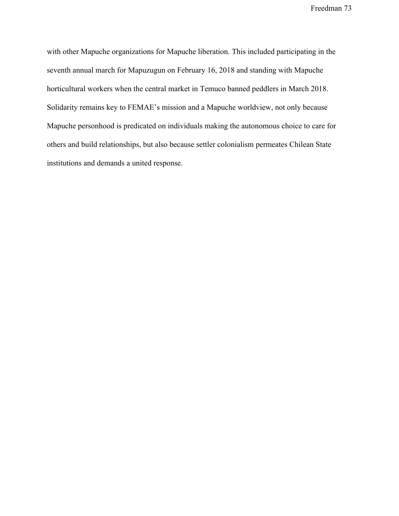with other Mapuche organizations for Mapuche liberation. This included participating in the seventh annual march for Mapuzugun on February 16, 2018 and standing with Mapuche horticultural workers when the central market in Temuco banned peddlers in March 2018. Solidarity remains key to FEMAE's mission and a Mapuche worldview, not only because Mapuche personhood is predicated on individuals making the autonomous choice to care for others and build relationships, but also because settler colonialism permeates Chilean State institutions and demands a united response.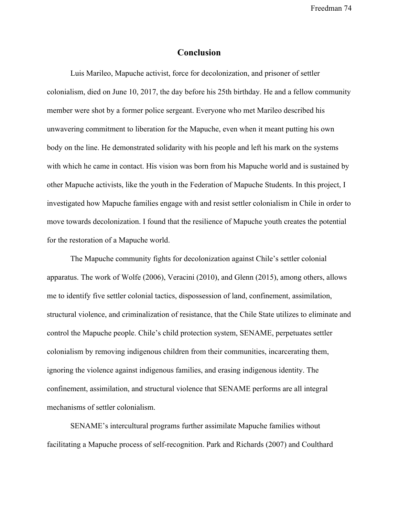## **Conclusion**

Luis Marileo, Mapuche activist, force for decolonization, and prisoner of settler colonialism, died on June 10, 2017, the day before his 25th birthday. He and a fellow community member were shot by a former police sergeant. Everyone who met Marileo described his unwavering commitment to liberation for the Mapuche, even when it meant putting his own body on the line. He demonstrated solidarity with his people and left his mark on the systems with which he came in contact. His vision was born from his Mapuche world and is sustained by other Mapuche activists, like the youth in the Federation of Mapuche Students. In this project, I investigated how Mapuche families engage with and resist settler colonialism in Chile in order to move towards decolonization. I found that the resilience of Mapuche youth creates the potential for the restoration of a Mapuche world.

The Mapuche community fights for decolonization against Chile's settler colonial apparatus. The work of Wolfe (2006), Veracini (2010), and Glenn (2015), among others, allows me to identify five settler colonial tactics, dispossession of land, confinement, assimilation, structural violence, and criminalization of resistance, that the Chile State utilizes to eliminate and control the Mapuche people. Chile's child protection system, SENAME, perpetuates settler colonialism by removing indigenous children from their communities, incarcerating them, ignoring the violence against indigenous families, and erasing indigenous identity. The confinement, assimilation, and structural violence that SENAME performs are all integral mechanisms of settler colonialism.

SENAME's intercultural programs further assimilate Mapuche families without facilitating a Mapuche process of self-recognition. Park and Richards (2007) and Coulthard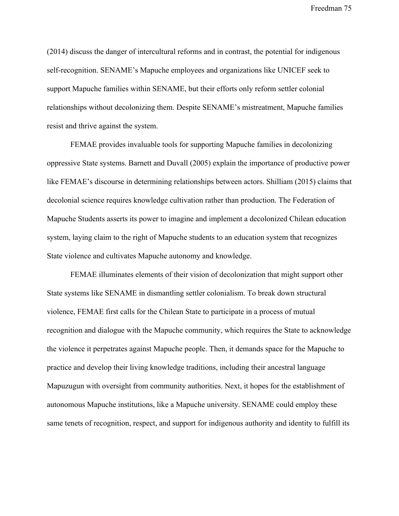(2014) discuss the danger of intercultural reforms and in contrast, the potential for indigenous self-recognition. SENAME's Mapuche employees and organizations like UNICEF seek to support Mapuche families within SENAME, but their efforts only reform settler colonial relationships without decolonizing them. Despite SENAME's mistreatment, Mapuche families resist and thrive against the system.

FEMAE provides invaluable tools for supporting Mapuche families in decolonizing oppressive State systems. Barnett and Duvall (2005) explain the importance of productive power like FEMAE's discourse in determining relationships between actors. Shilliam (2015) claims that decolonial science requires knowledge cultivation rather than production. The Federation of Mapuche Students asserts its power to imagine and implement a decolonized Chilean education system, laying claim to the right of Mapuche students to an education system that recognizes State violence and cultivates Mapuche autonomy and knowledge.

FEMAE illuminates elements of their vision of decolonization that might support other State systems like SENAME in dismantling settler colonialism. To break down structural violence, FEMAE first calls for the Chilean State to participate in a process of mutual recognition and dialogue with the Mapuche community, which requires the State to acknowledge the violence it perpetrates against Mapuche people. Then, it demands space for the Mapuche to practice and develop their living knowledge traditions, including their ancestral language Mapuzugun with oversight from community authorities. Next, it hopes for the establishment of autonomous Mapuche institutions, like a Mapuche university. SENAME could employ these same tenets of recognition, respect, and support for indigenous authority and identity to fulfill its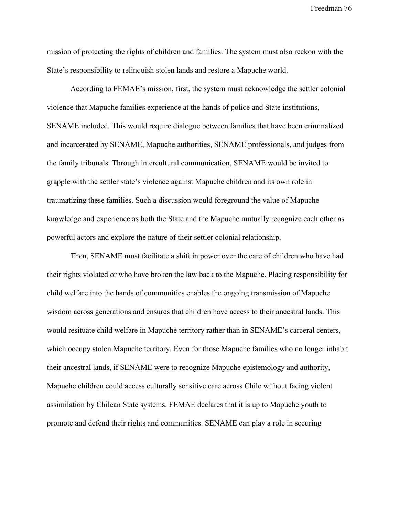mission of protecting the rights of children and families. The system must also reckon with the State's responsibility to relinquish stolen lands and restore a Mapuche world.

According to FEMAE's mission, first, the system must acknowledge the settler colonial violence that Mapuche families experience at the hands of police and State institutions, SENAME included. This would require dialogue between families that have been criminalized and incarcerated by SENAME, Mapuche authorities, SENAME professionals, and judges from the family tribunals. Through intercultural communication, SENAME would be invited to grapple with the settler state's violence against Mapuche children and its own role in traumatizing these families. Such a discussion would foreground the value of Mapuche knowledge and experience as both the State and the Mapuche mutually recognize each other as powerful actors and explore the nature of their settler colonial relationship.

Then, SENAME must facilitate a shift in power over the care of children who have had their rights violated or who have broken the law back to the Mapuche. Placing responsibility for child welfare into the hands of communities enables the ongoing transmission of Mapuche wisdom across generations and ensures that children have access to their ancestral lands. This would resituate child welfare in Mapuche territory rather than in SENAME's carceral centers, which occupy stolen Mapuche territory. Even for those Mapuche families who no longer inhabit their ancestral lands, if SENAME were to recognize Mapuche epistemology and authority, Mapuche children could access culturally sensitive care across Chile without facing violent assimilation by Chilean State systems. FEMAE declares that it is up to Mapuche youth to promote and defend their rights and communities. SENAME can play a role in securing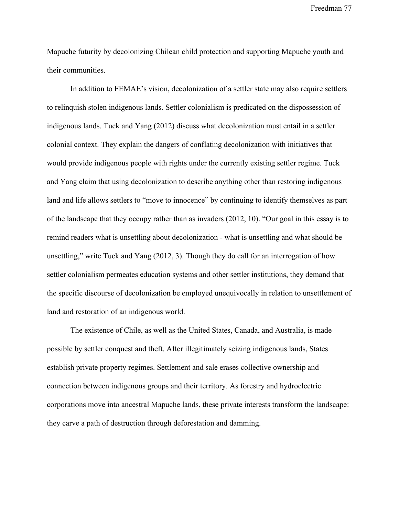Mapuche futurity by decolonizing Chilean child protection and supporting Mapuche youth and their communities.

In addition to FEMAE's vision, decolonization of a settler state may also require settlers to relinquish stolen indigenous lands. Settler colonialism is predicated on the dispossession of indigenous lands. Tuck and Yang (2012) discuss what decolonization must entail in a settler colonial context. They explain the dangers of conflating decolonization with initiatives that would provide indigenous people with rights under the currently existing settler regime. Tuck and Yang claim that using decolonization to describe anything other than restoring indigenous land and life allows settlers to "move to innocence" by continuing to identify themselves as part of the landscape that they occupy rather than as invaders (2012, 10). "Our goal in this essay is to remind readers what is unsettling about decolonization - what is unsettling and what should be unsettling," write Tuck and Yang (2012, 3). Though they do call for an interrogation of how settler colonialism permeates education systems and other settler institutions, they demand that the specific discourse of decolonization be employed unequivocally in relation to unsettlement of land and restoration of an indigenous world.

The existence of Chile, as well as the United States, Canada, and Australia, is made possible by settler conquest and theft. After illegitimately seizing indigenous lands, States establish private property regimes. Settlement and sale erases collective ownership and connection between indigenous groups and their territory. As forestry and hydroelectric corporations move into ancestral Mapuche lands, these private interests transform the landscape: they carve a path of destruction through deforestation and damming.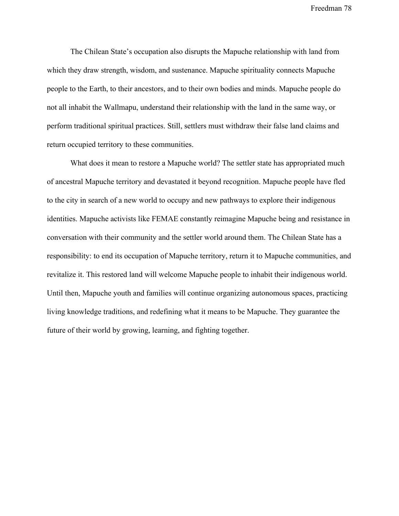The Chilean State's occupation also disrupts the Mapuche relationship with land from which they draw strength, wisdom, and sustenance. Mapuche spirituality connects Mapuche people to the Earth, to their ancestors, and to their own bodies and minds. Mapuche people do not all inhabit the Wallmapu, understand their relationship with the land in the same way, or perform traditional spiritual practices. Still, settlers must withdraw their false land claims and return occupied territory to these communities.

What does it mean to restore a Mapuche world? The settler state has appropriated much of ancestral Mapuche territory and devastated it beyond recognition. Mapuche people have fled to the city in search of a new world to occupy and new pathways to explore their indigenous identities. Mapuche activists like FEMAE constantly reimagine Mapuche being and resistance in conversation with their community and the settler world around them. The Chilean State has a responsibility: to end its occupation of Mapuche territory, return it to Mapuche communities, and revitalize it. This restored land will welcome Mapuche people to inhabit their indigenous world. Until then, Mapuche youth and families will continue organizing autonomous spaces, practicing living knowledge traditions, and redefining what it means to be Mapuche. They guarantee the future of their world by growing, learning, and fighting together.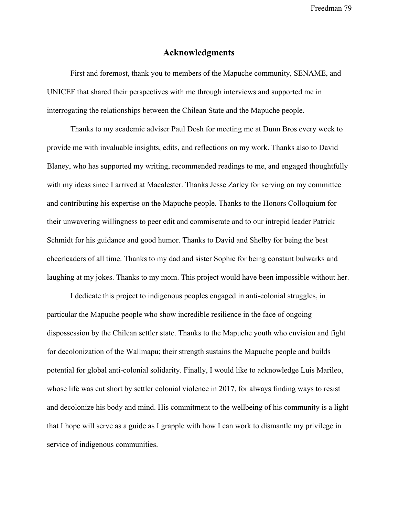## **Acknowledgments**

First and foremost, thank you to members of the Mapuche community, SENAME, and UNICEF that shared their perspectives with me through interviews and supported me in interrogating the relationships between the Chilean State and the Mapuche people.

Thanks to my academic adviser Paul Dosh for meeting me at Dunn Bros every week to provide me with invaluable insights, edits, and reflections on my work. Thanks also to David Blaney, who has supported my writing, recommended readings to me, and engaged thoughtfully with my ideas since I arrived at Macalester. Thanks Jesse Zarley for serving on my committee and contributing his expertise on the Mapuche people. Thanks to the Honors Colloquium for their unwavering willingness to peer edit and commiserate and to our intrepid leader Patrick Schmidt for his guidance and good humor. Thanks to David and Shelby for being the best cheerleaders of all time. Thanks to my dad and sister Sophie for being constant bulwarks and laughing at my jokes. Thanks to my mom. This project would have been impossible without her.

I dedicate this project to indigenous peoples engaged in anti-colonial struggles, in particular the Mapuche people who show incredible resilience in the face of ongoing dispossession by the Chilean settler state. Thanks to the Mapuche youth who envision and fight for decolonization of the Wallmapu; their strength sustains the Mapuche people and builds potential for global anti-colonial solidarity. Finally, I would like to acknowledge Luis Marileo, whose life was cut short by settler colonial violence in 2017, for always finding ways to resist and decolonize his body and mind. His commitment to the wellbeing of his community is a light that I hope will serve as a guide as I grapple with how I can work to dismantle my privilege in service of indigenous communities.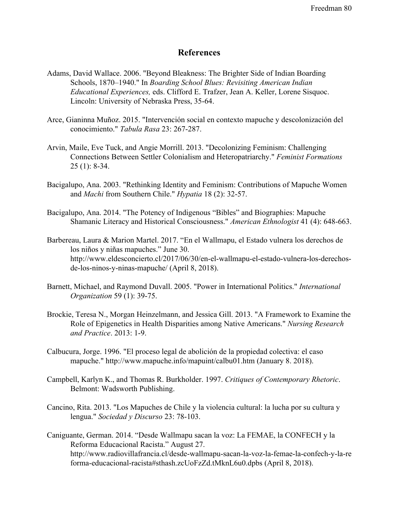## **References**

- Adams, David Wallace. 2006. "Beyond Bleakness: The Brighter Side of Indian Boarding Schools, 1870–1940." In *Boarding School Blues: Revisiting American Indian Educational Experiences,* eds. Clifford E. Trafzer, Jean A. Keller, Lorene Sisquoc. Lincoln: University of Nebraska Press, 35-64.
- Arce, Gianinna Muñoz. 2015. "Intervención social en contexto mapuche y descolonización del conocimiento." *Tabula Rasa* 23: 267-287.
- Arvin, Maile, Eve Tuck, and Angie Morrill. 2013. "Decolonizing Feminism: Challenging Connections Between Settler Colonialism and Heteropatriarchy." *Feminist Formations* 25 (1): 8-34.
- Bacigalupo, Ana. 2003. "Rethinking Identity and Feminism: Contributions of Mapuche Women and *Machi* from Southern Chile." *Hypatia* 18 (2): 32-57.
- Bacigalupo, Ana. 2014. "The Potency of Indigenous "Bibles" and Biographies: Mapuche Shamanic Literacy and Historical Consciousness." *American Ethnologist* 41 (4): 648-663.
- Barbereau, Laura & Marion Martel. 2017. "En el Wallmapu, el Estado vulnera los derechos de los niños y niñas mapuches." June 30. [http://www.eldesconcierto.cl/2017/06/30/en-el-wallmapu-el-estado-vulnera-los-derechos](http://www.eldesconcierto.cl/2017/06/30/en-el-wallmapu-el-estado-vulnera-los-derechos-de-los-ninos-y-ninas-mapuche/)[de-los-ninos-y-ninas-mapuche/](http://www.eldesconcierto.cl/2017/06/30/en-el-wallmapu-el-estado-vulnera-los-derechos-de-los-ninos-y-ninas-mapuche/) (April 8, 2018).
- Barnett, Michael, and Raymond Duvall. 2005. "Power in International Politics." *International Organization* 59 (1): 39-75.
- Brockie, Teresa N., Morgan Heinzelmann, and Jessica Gill. 2013. "A Framework to Examine the Role of Epigenetics in Health Disparities among Native Americans." *Nursing Research and Practice*. 2013: 1-9.
- Calbucura, Jorge. 1996. "El proceso legal de abolición de la propiedad colectiva: el caso mapuche."<http://www.mapuche.info/mapuint/calbu01.htm>(January 8. 2018).
- Campbell, Karlyn K., and Thomas R. Burkholder. 1997. *Critiques of Contemporary Rhetoric*. Belmont: Wadsworth Publishing.
- Cancino, Rita. 2013. "Los Mapuches de Chile y la violencia cultural: la lucha por su cultura y lengua." *Sociedad y Discurso* 23: 78-103.
- Caniguante, German. 2014. "Desde Wallmapu sacan la voz: La FEMAE, la CONFECH y la Reforma Educacional Racista." August 27. [http://www.radiovillafrancia.cl/desde-wallmapu-sacan-la-voz-la-femae-la-confech-y-la-re](http://www.radiovillafrancia.cl/desde-wallmapu-sacan-la-voz-la-femae-la-confech-y-la-reforma-educacional-racista#sthash.zcUoFzZd.tMknL6u0.dpbs) [forma-educacional-racista#sthash.zcUoFzZd.tMknL6u0.dpbs](http://www.radiovillafrancia.cl/desde-wallmapu-sacan-la-voz-la-femae-la-confech-y-la-reforma-educacional-racista#sthash.zcUoFzZd.tMknL6u0.dpbs) (April 8, 2018).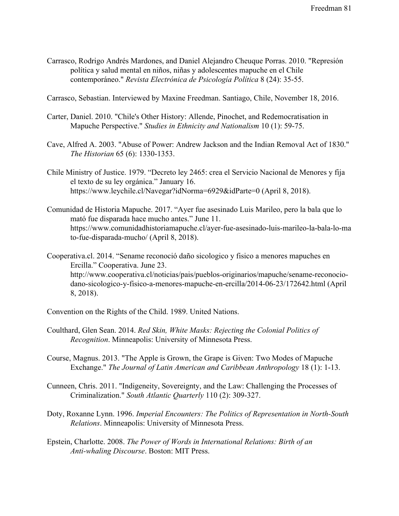Carrasco, Rodrigo Andrés Mardones, and Daniel Alejandro Cheuque Porras. 2010. "Represión política y salud mental en niños, niñas y adolescentes mapuche en el Chile contemporáneo." *Revista Electrónica de Psicología Política* 8 (24): 35-55.

Carrasco, Sebastian. Interviewed by Maxine Freedman. Santiago, Chile, November 18, 2016.

- Carter, Daniel. 2010. "Chile's Other History: Allende, Pinochet, and Redemocratisation in Mapuche Perspective." *Studies in Ethnicity and Nationalism* 10 (1): 59-75.
- Cave, Alfred A. 2003. "Abuse of Power: Andrew Jackson and the Indian Removal Act of 1830." *The Historian* 65 (6): 1330-1353.
- Chile Ministry of Justice. 1979. "Decreto ley 2465: crea el Servicio Nacional de Menores y fija el texto de su ley orgánica." January 16. https://www.leychile.cl/Navegar?idNorma=6929&idParte=0 (April 8, 2018).
- Comunidad de Historia Mapuche. 2017. "Ayer fue asesinado Luis Marileo, pero la bala que lo mató fue disparada hace mucho antes." June 11. [https://www.comunidadhistoriamapuche.cl/ayer-fue-asesinado-luis-marileo-la-bala-lo-ma](https://www.comunidadhistoriamapuche.cl/ayer-fue-asesinado-luis-marileo-la-bala-lo-mato-fue-disparada-mucho/) [to-fue-disparada-mucho/](https://www.comunidadhistoriamapuche.cl/ayer-fue-asesinado-luis-marileo-la-bala-lo-mato-fue-disparada-mucho/) (April 8, 2018).
- Cooperativa.cl. 2014. "Sename reconoció daño sicologico y fisico a menores mapuches en Ercilla." Cooperativa. June 23. [http://www.cooperativa.cl/noticias/pais/pueblos-originarios/mapuche/sename-reconocio](http://www.cooperativa.cl/noticias/pais/pueblos-originarios/mapuche/sename-reconocio-dano-sicologico-y-fisico-a-menores-mapuche-en-ercilla/2014-06-23/172642.html)[dano-sicologico-y-fisico-a-menores-mapuche-en-ercilla/2014-06-23/172642.html](http://www.cooperativa.cl/noticias/pais/pueblos-originarios/mapuche/sename-reconocio-dano-sicologico-y-fisico-a-menores-mapuche-en-ercilla/2014-06-23/172642.html) (April 8, 2018).
- Convention on the Rights of the Child. 1989. United Nations.
- Coulthard, Glen Sean. 2014. *Red Skin, White Masks: Rejecting the Colonial Politics of Recognition*. Minneapolis: University of Minnesota Press.
- Course, Magnus. 2013. "The Apple is Grown, the Grape is Given: Two Modes of Mapuche Exchange." *The Journal of Latin American and Caribbean Anthropology* 18 (1): 1-13.
- Cunneen, Chris. 2011. "Indigeneity, Sovereignty, and the Law: Challenging the Processes of Criminalization." *South Atlantic Quarterly* 110 (2): 309-327.
- Doty, Roxanne Lynn. 1996. *Imperial Encounters: The Politics of Representation in North-South Relations*. Minneapolis: University of Minnesota Press.
- Epstein, Charlotte. 2008. *The Power of Words in International Relations: Birth of an Anti-whaling Discourse*. Boston: MIT Press.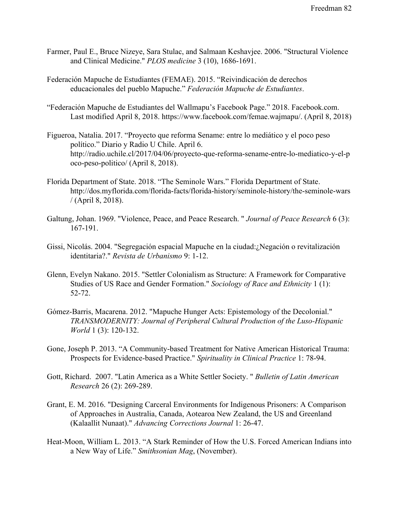- Farmer, Paul E., Bruce Nizeye, Sara Stulac, and Salmaan Keshavjee. 2006. "Structural Violence and Clinical Medicine." *PLOS medicine* 3 (10), 1686-1691.
- Federación Mapuche de Estudiantes (FEMAE). 2015. "Reivindicación de derechos educacionales del pueblo Mapuche." *Federación Mapuche de Estudiantes*.
- "Federación Mapuche de Estudiantes del Wallmapu's Facebook Page." 2018. Facebook.com. Last modified April 8, 2018.<https://www.facebook.com/femae.wajmapu/>. (April 8, 2018)
- Figueroa, Natalia. 2017. "Proyecto que reforma Sename: entre lo mediático y el poco peso político." Diario y Radio U Chile. April 6. [http://radio.uchile.cl/2017/04/06/proyecto-que-reforma-sename-entre-lo-mediatico-y-el-p](http://radio.uchile.cl/2017/04/06/proyecto-que-reforma-sename-entre-lo-mediatico-y-el-poco-peso-politico/) [oco-peso-politico/](http://radio.uchile.cl/2017/04/06/proyecto-que-reforma-sename-entre-lo-mediatico-y-el-poco-peso-politico/) (April 8, 2018).
- Florida Department of State. 2018. "The Seminole Wars." Florida Department of State. [http://dos.myflorida.com/florida-facts/florida-history/seminole-history/the-seminole-wars](http://dos.myflorida.com/florida-facts/florida-history/seminole-history/the-seminole-wars/) [/](http://dos.myflorida.com/florida-facts/florida-history/seminole-history/the-seminole-wars/) (April 8, 2018).
- Galtung, Johan. 1969. "Violence, Peace, and Peace Research. " *Journal of Peace Research* 6 (3): 167-191.
- Gissi, Nicolás. 2004. "Segregación espacial Mapuche en la ciudad:¿Negación o revitalización identitaria?." *Revista de Urbanismo* 9: 1-12.
- Glenn, Evelyn Nakano. 2015. "Settler Colonialism as Structure: A Framework for Comparative Studies of US Race and Gender Formation." *Sociology of Race and Ethnicity* 1 (1): 52-72.
- Gómez-Barris, Macarena. 2012. "Mapuche Hunger Acts: Epistemology of the Decolonial." *TRANSMODERNITY: Journal of Peripheral Cultural Production of the Luso-Hispanic World* 1 (3): 120-132.
- Gone, Joseph P. 2013. "A Community-based Treatment for Native American Historical Trauma: Prospects for Evidence-based Practice." *Spirituality in Clinical Practice* 1: 78-94.
- Gott, Richard. 2007. "Latin America as a White Settler Society. " *Bulletin of Latin American Research* 26 (2): 269-289.
- Grant, E. M. 2016. "Designing Carceral Environments for Indigenous Prisoners: A Comparison of Approaches in Australia, Canada, Aotearoa New Zealand, the US and Greenland (Kalaallit Nunaat)." *Advancing Corrections Journal* 1: 26-47.
- Heat-Moon, William L. 2013. "A Stark Reminder of How the U.S. Forced American Indians into a New Way of Life." *Smithsonian Mag*, (November).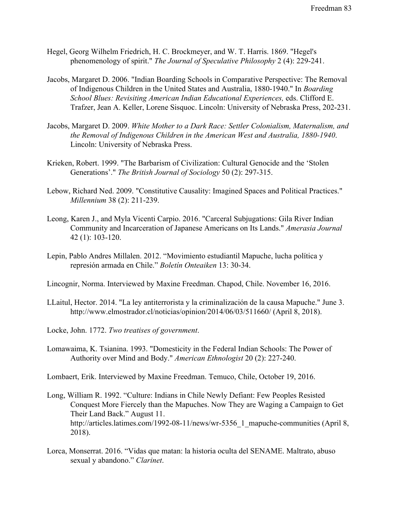- Hegel, Georg Wilhelm Friedrich, H. C. Brockmeyer, and W. T. Harris. 1869. "Hegel's phenomenology of spirit." *The Journal of Speculative Philosophy* 2 (4): 229-241.
- Jacobs, Margaret D. 2006. "Indian Boarding Schools in Comparative Perspective: The Removal of Indigenous Children in the United States and Australia, 1880-1940." In *Boarding School Blues: Revisiting American Indian Educational Experiences,* eds. Clifford E. Trafzer, Jean A. Keller, Lorene Sisquoc. Lincoln: University of Nebraska Press, 202-231.
- Jacobs, Margaret D. 2009. *White Mother to a Dark Race: Settler Colonialism, Maternalism, and the Removal of Indigenous Children in the American West and Australia, 1880-1940*. Lincoln: University of Nebraska Press.
- Krieken, Robert. 1999. "The Barbarism of Civilization: Cultural Genocide and the 'Stolen Generations'." *The British Journal of Sociology* 50 (2): 297-315.
- Lebow, Richard Ned. 2009. "Constitutive Causality: Imagined Spaces and Political Practices." *Millennium* 38 (2): 211-239.
- Leong, Karen J., and Myla Vicenti Carpio. 2016. "Carceral Subjugations: Gila River Indian Community and Incarceration of Japanese Americans on Its Lands." *Amerasia Journal* 42 (1): 103-120.
- Lepin, Pablo Andres Millalen. 2012. "Movimiento estudiantil Mapuche, lucha política y represión armada en Chile." *Boletín Onteaiken* 13: 30-34.
- Lincognir, Norma. Interviewed by Maxine Freedman. Chapod, Chile. November 16, 2016.
- LLaitul, Hector. 2014. "La ley antiterrorista y la criminalización de la causa Mapuche." June 3. <http://www.elmostrador.cl/noticias/opinion/2014/06/03/511660/> (April 8, 2018).
- Locke, John. 1772. *Two treatises of government*.
- Lomawaima, K. Tsianina. 1993. "Domesticity in the Federal Indian Schools: The Power of Authority over Mind and Body." *American Ethnologist* 20 (2): 227-240.

Lombaert, Erik. Interviewed by Maxine Freedman. Temuco, Chile, October 19, 2016.

- Long, William R. 1992. "Culture: Indians in Chile Newly Defiant: Few Peoples Resisted Conquest More Fiercely than the Mapuches. Now They are Waging a Campaign to Get Their Land Back." August 11. [http://articles.latimes.com/1992-08-11/news/wr-5356\\_1\\_mapuche-communities](http://articles.latimes.com/1992-08-11/news/wr-5356_1_mapuche-communities) (April 8, 2018).
- Lorca, Monserrat. 2016. "Vidas que matan: la historia oculta del SENAME. Maltrato, abuso sexual y abandono." *Clarinet*.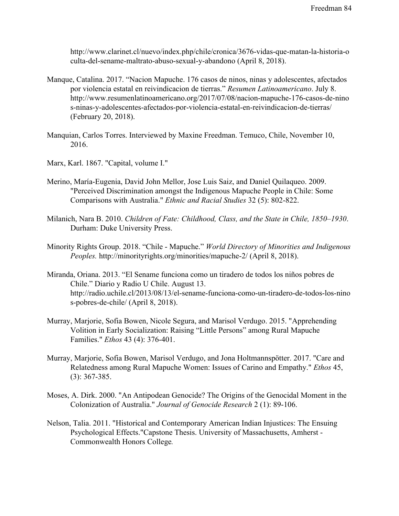[http://www.clarinet.cl/nuevo/index.php/chile/cronica/3676-vidas-que-matan-la-historia-o](http://www.clarinet.cl/nuevo/index.php/chile/cronica/3676-vidas-que-matan-la-historia-oculta-del-sename-maltrato-abuso-sexual-y-abandono) [culta-del-sename-maltrato-abuso-sexual-y-abandono](http://www.clarinet.cl/nuevo/index.php/chile/cronica/3676-vidas-que-matan-la-historia-oculta-del-sename-maltrato-abuso-sexual-y-abandono) (April 8, 2018).

- Manque, Catalina. 2017. "Nacion Mapuche. 176 casos de ninos, ninas y adolescentes, afectados por violencia estatal en reivindicacion de tierras." *Resumen Latinoamericano*. July 8. [http://www.resumenlatinoamericano.org/2017/07/08/nacion-mapuche-176-casos-de-nino](http://www.resumenlatinoamericano.org/2017/07/08/nacion-mapuche-176-casos-de-ninos-ninas-y-adolescentes-afectados-por-violencia-estatal-en-reivindicacion-de-tierras/) [s-ninas-y-adolescentes-afectados-por-violencia-estatal-en-reivindicacion-de-tierras/](http://www.resumenlatinoamericano.org/2017/07/08/nacion-mapuche-176-casos-de-ninos-ninas-y-adolescentes-afectados-por-violencia-estatal-en-reivindicacion-de-tierras/) (February 20, 2018).
- Manquian, Carlos Torres. Interviewed by Maxine Freedman. Temuco, Chile, November 10, 2016.
- Marx, Karl. 1867. "Capital, volume I."
- Merino, María-Eugenia, David John Mellor, Jose Luis Saiz, and Daniel Quilaqueo. 2009. "Perceived Discrimination amongst the Indigenous Mapuche People in Chile: Some Comparisons with Australia." *Ethnic and Racial Studies* 32 (5): 802-822.
- Milanich, Nara B. 2010. *Children of Fate: Childhood, Class, and the State in Chile, 1850–1930*. Durham: Duke University Press.
- Minority Rights Group. 2018. "Chile Mapuche." *World Directory of Minorities and Indigenous Peoples.* <http://minorityrights.org/minorities/mapuche-2/> (April 8, 2018).
- Miranda, Oriana. 2013. "El Sename funciona como un tiradero de todos los niños pobres de Chile." Diario y Radio U Chile. August 13. [http://radio.uchile.cl/2013/08/13/el-sename-funciona-como-un-tiradero-de-todos-los-nino](http://radio.uchile.cl/2013/08/13/el-sename-funciona-como-un-tiradero-de-todos-los-ninos-pobres-de-chile/) [s-pobres-de-chile/](http://radio.uchile.cl/2013/08/13/el-sename-funciona-como-un-tiradero-de-todos-los-ninos-pobres-de-chile/) (April 8, 2018).
- Murray, Marjorie, Sofia Bowen, Nicole Segura, and Marisol Verdugo. 2015. "Apprehending Volition in Early Socialization: Raising "Little Persons" among Rural Mapuche Families." *Ethos* 43 (4): 376-401.
- Murray, Marjorie, Sofia Bowen, Marisol Verdugo, and Jona Holtmannspötter. 2017. "Care and Relatedness among Rural Mapuche Women: Issues of Carino and Empathy." *Ethos* 45, (3): 367-385.
- Moses, A. Dirk. 2000. "An Antipodean Genocide? The Origins of the Genocidal Moment in the Colonization of Australia." *Journal of Genocide Research* 2 (1): 89-106.
- Nelson, Talia. 2011. "Historical and Contemporary American Indian Injustices: The Ensuing Psychological Effects."Capstone Thesis. University of Massachusetts, Amherst - Commonwealth Honors College*.*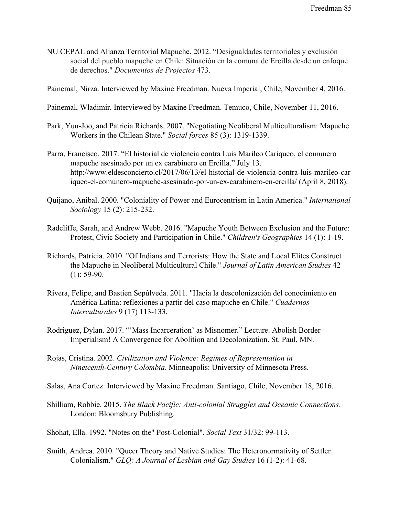- NU CEPAL and Alianza Territorial Mapuche. 2012. "Desigualdades territoriales y exclusión social del pueblo mapuche en Chile: Situación en la comuna de Ercilla desde un enfoque de derechos." *Documentos de Projectos* 473.
- Painemal, Nirza. Interviewed by Maxine Freedman. Nueva Imperial, Chile, November 4, 2016.
- Painemal, Wladimir. Interviewed by Maxine Freedman. Temuco, Chile, November 11, 2016.
- Park, Yun-Joo, and Patricia Richards. 2007. "Negotiating Neoliberal Multiculturalism: Mapuche Workers in the Chilean State." *Social forces* 85 (3): 1319-1339.
- Parra, Francisco. 2017. "El historial de violencia contra Luis Marileo Cariqueo, el comunero mapuche asesinado por un ex carabinero en Ercilla." July 13. [http://www.eldesconcierto.cl/2017/06/13/el-historial-de-violencia-contra-luis-marileo-car](http://www.eldesconcierto.cl/2017/06/13/el-historial-de-violencia-contra-luis-marileo-cariqueo-el-comunero-mapuche-asesinado-por-un-ex-carabinero-en-ercilla/) [iqueo-el-comunero-mapuche-asesinado-por-un-ex-carabinero-en-ercilla/](http://www.eldesconcierto.cl/2017/06/13/el-historial-de-violencia-contra-luis-marileo-cariqueo-el-comunero-mapuche-asesinado-por-un-ex-carabinero-en-ercilla/) (April 8, 2018).
- Quijano, Anibal. 2000. "Coloniality of Power and Eurocentrism in Latin America." *International Sociology* 15 (2): 215-232.
- Radcliffe, Sarah, and Andrew Webb. 2016. "Mapuche Youth Between Exclusion and the Future: Protest, Civic Society and Participation in Chile." *Children's Geographies* 14 (1): 1-19.
- Richards, Patricia. 2010. "Of Indians and Terrorists: How the State and Local Elites Construct the Mapuche in Neoliberal Multicultural Chile." *Journal of Latin American Studies* 42  $(1)$ : 59-90.
- Rivera, Felipe, and Bastien Sepúlveda. 2011. "Hacia la descolonización del conocimiento en América Latina: reflexiones a partir del caso mapuche en Chile." *Cuadernos Interculturales* 9 (17) 113-133.
- Rodriguez, Dylan. 2017. "'Mass Incarceration' as Misnomer." Lecture. Abolish Border Imperialism! A Convergence for Abolition and Decolonization. St. Paul, MN.
- Rojas, Cristina. 2002. *Civilization and Violence: Regimes of Representation in Nineteenth-Century Colombia*. Minneapolis: University of Minnesota Press.
- Salas, Ana Cortez. Interviewed by Maxine Freedman. Santiago, Chile, November 18, 2016.
- Shilliam, Robbie. 2015. *The Black Pacific: Anti-colonial Struggles and Oceanic Connections*. London: Bloomsbury Publishing.
- Shohat, Ella. 1992. "Notes on the" Post-Colonial". *Social Text* 31/32: 99-113.
- Smith, Andrea. 2010. "Queer Theory and Native Studies: The Heteronormativity of Settler Colonialism." *GLQ: A Journal of Lesbian and Gay Studies* 16 (1-2): 41-68.